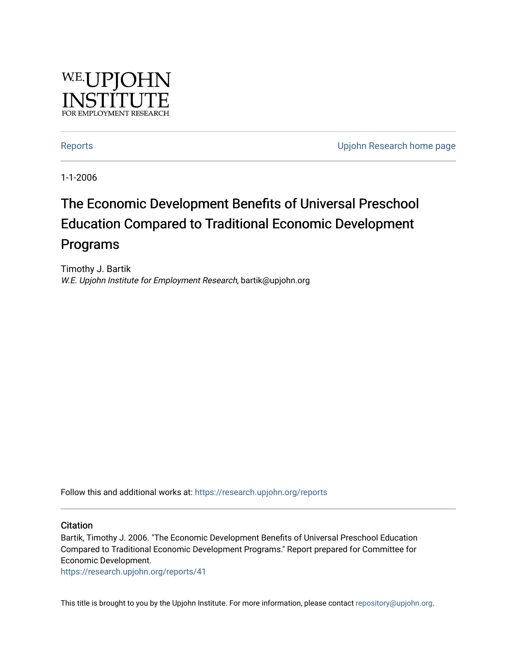

[Reports](https://research.upjohn.org/reports) **Example 20** Reports **CONFIDENTIAL RESEARCH HOME PAGE 2018** 

1-1-2006

# The Economic Development Benefits of Universal Preschool Education Compared to Traditional Economic Development Programs

Timothy J. Bartik W.E. Upjohn Institute for Employment Research, bartik@upjohn.org

Follow this and additional works at: [https://research.upjohn.org/reports](https://research.upjohn.org/reports?utm_source=research.upjohn.org%2Freports%2F41&utm_medium=PDF&utm_campaign=PDFCoverPages) 

#### **Citation**

Bartik, Timothy J. 2006. "The Economic Development Benefits of Universal Preschool Education Compared to Traditional Economic Development Programs." Report prepared for Committee for Economic Development.

<https://research.upjohn.org/reports/41>

This title is brought to you by the Upjohn Institute. For more information, please contact [repository@upjohn.org](mailto:repository@upjohn.org).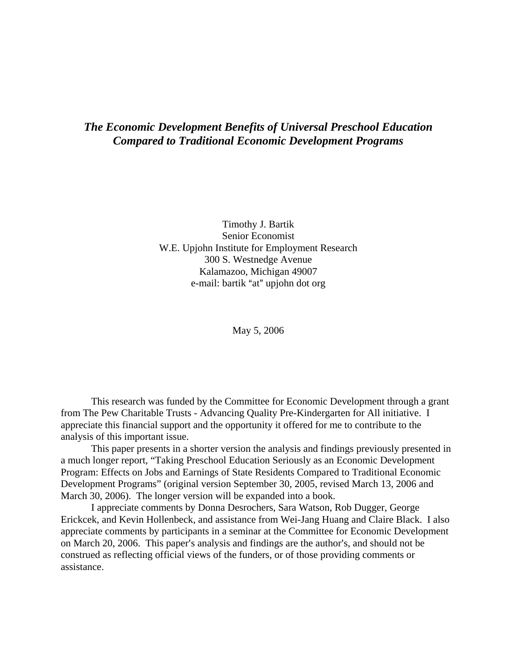# *The Economic Development Benefits of Universal Preschool Education Compared to Traditional Economic Development Programs*

Timothy J. Bartik Senior Economist W.E. Upjohn Institute for Employment Research 300 S. Westnedge Avenue Kalamazoo, Michigan 49007 e-mail: bartik "at" upjohn dot org

May 5, 2006

This research was funded by the Committee for Economic Development through a grant from The Pew Charitable Trusts - Advancing Quality Pre-Kindergarten for All initiative. I appreciate this financial support and the opportunity it offered for me to contribute to the analysis of this important issue.

This paper presents in a shorter version the analysis and findings previously presented in a much longer report, "Taking Preschool Education Seriously as an Economic Development Program: Effects on Jobs and Earnings of State Residents Compared to Traditional Economic Development Programs" (original version September 30, 2005, revised March 13, 2006 and March 30, 2006). The longer version will be expanded into a book.

I appreciate comments by Donna Desrochers, Sara Watson, Rob Dugger, George Erickcek, and Kevin Hollenbeck, and assistance from Wei-Jang Huang and Claire Black. I also appreciate comments by participants in a seminar at the Committee for Economic Development on March 20, 2006. This paper's analysis and findings are the author's, and should not be construed as reflecting official views of the funders, or of those providing comments or assistance.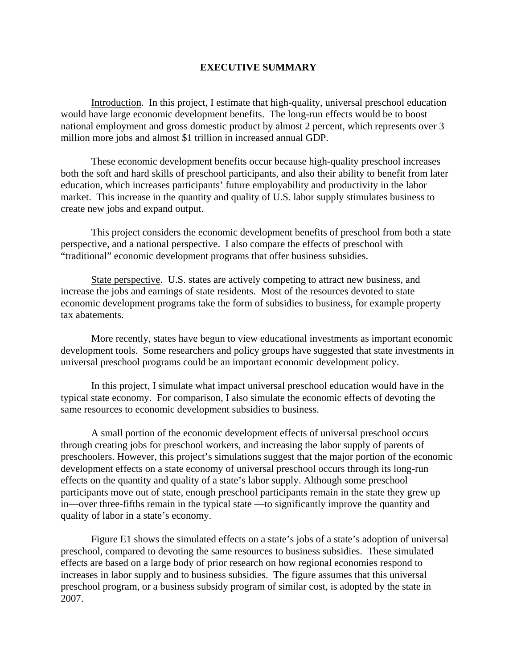#### **EXECUTIVE SUMMARY**

Introduction. In this project, I estimate that high-quality, universal preschool education would have large economic development benefits. The long-run effects would be to boost national employment and gross domestic product by almost 2 percent, which represents over 3 million more jobs and almost \$1 trillion in increased annual GDP.

These economic development benefits occur because high-quality preschool increases both the soft and hard skills of preschool participants, and also their ability to benefit from later education, which increases participants' future employability and productivity in the labor market. This increase in the quantity and quality of U.S. labor supply stimulates business to create new jobs and expand output.

This project considers the economic development benefits of preschool from both a state perspective, and a national perspective. I also compare the effects of preschool with "traditional" economic development programs that offer business subsidies.

State perspective. U.S. states are actively competing to attract new business, and increase the jobs and earnings of state residents. Most of the resources devoted to state economic development programs take the form of subsidies to business, for example property tax abatements.

More recently, states have begun to view educational investments as important economic development tools. Some researchers and policy groups have suggested that state investments in universal preschool programs could be an important economic development policy.

In this project, I simulate what impact universal preschool education would have in the typical state economy. For comparison, I also simulate the economic effects of devoting the same resources to economic development subsidies to business.

A small portion of the economic development effects of universal preschool occurs through creating jobs for preschool workers, and increasing the labor supply of parents of preschoolers. However, this project's simulations suggest that the major portion of the economic development effects on a state economy of universal preschool occurs through its long-run effects on the quantity and quality of a state's labor supply. Although some preschool participants move out of state, enough preschool participants remain in the state they grew up in—over three-fifths remain in the typical state —to significantly improve the quantity and quality of labor in a state's economy.

Figure E1 shows the simulated effects on a state's jobs of a state's adoption of universal preschool, compared to devoting the same resources to business subsidies. These simulated effects are based on a large body of prior research on how regional economies respond to increases in labor supply and to business subsidies. The figure assumes that this universal preschool program, or a business subsidy program of similar cost, is adopted by the state in 2007.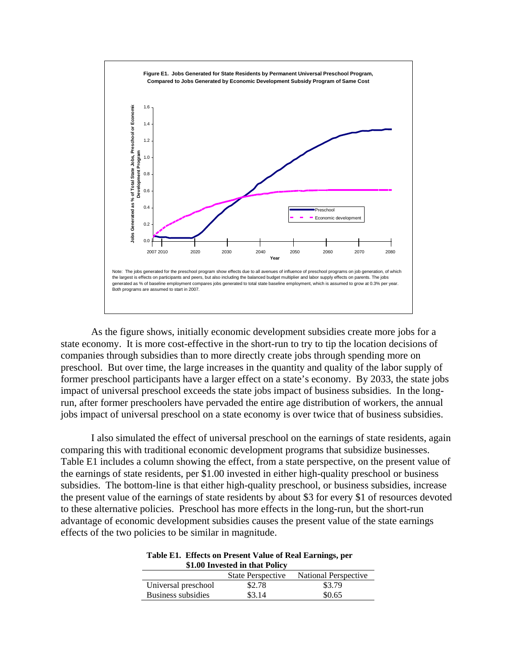

As the figure shows, initially economic development subsidies create more jobs for a state economy. It is more cost-effective in the short-run to try to tip the location decisions of companies through subsidies than to more directly create jobs through spending more on preschool. But over time, the large increases in the quantity and quality of the labor supply of former preschool participants have a larger effect on a state's economy. By 2033, the state jobs impact of universal preschool exceeds the state jobs impact of business subsidies. In the longrun, after former preschoolers have pervaded the entire age distribution of workers, the annual jobs impact of universal preschool on a state economy is over twice that of business subsidies.

I also simulated the effect of universal preschool on the earnings of state residents, again comparing this with traditional economic development programs that subsidize businesses. Table E1 includes a column showing the effect, from a state perspective, on the present value of the earnings of state residents, per \$1.00 invested in either high-quality preschool or business subsidies. The bottom-line is that either high-quality preschool, or business subsidies, increase the present value of the earnings of state residents by about \$3 for every \$1 of resources devoted to these alternative policies. Preschool has more effects in the long-run, but the short-run advantage of economic development subsidies causes the present value of the state earnings effects of the two policies to be similar in magnitude.

| Table E1. Effects on Present Value of Real Earnings, per |
|----------------------------------------------------------|
| \$1.00 Invested in that Policy                           |

|                     | <b>State Perspective</b> | National Perspective |
|---------------------|--------------------------|----------------------|
| Universal preschool | \$2.78                   | \$3.79               |
| Business subsidies  | \$3.14                   | \$0.65               |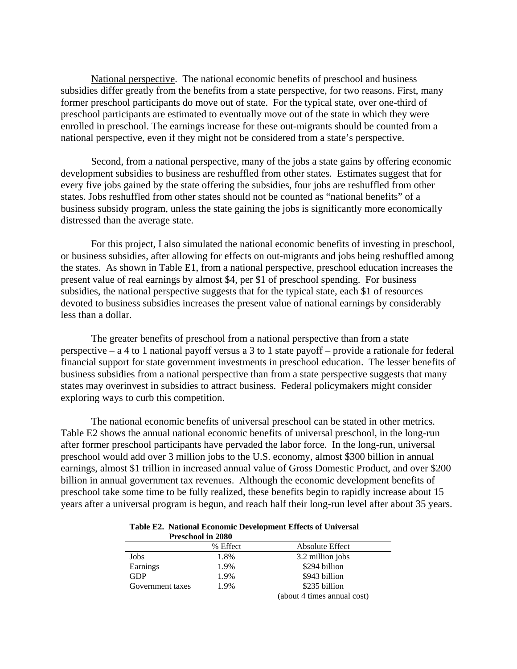National perspective. The national economic benefits of preschool and business subsidies differ greatly from the benefits from a state perspective, for two reasons. First, many former preschool participants do move out of state. For the typical state, over one-third of preschool participants are estimated to eventually move out of the state in which they were enrolled in preschool. The earnings increase for these out-migrants should be counted from a national perspective, even if they might not be considered from a state's perspective.

Second, from a national perspective, many of the jobs a state gains by offering economic development subsidies to business are reshuffled from other states. Estimates suggest that for every five jobs gained by the state offering the subsidies, four jobs are reshuffled from other states. Jobs reshuffled from other states should not be counted as "national benefits" of a business subsidy program, unless the state gaining the jobs is significantly more economically distressed than the average state.

For this project, I also simulated the national economic benefits of investing in preschool, or business subsidies, after allowing for effects on out-migrants and jobs being reshuffled among the states. As shown in Table E1, from a national perspective, preschool education increases the present value of real earnings by almost \$4, per \$1 of preschool spending. For business subsidies, the national perspective suggests that for the typical state, each \$1 of resources devoted to business subsidies increases the present value of national earnings by considerably less than a dollar.

The greater benefits of preschool from a national perspective than from a state perspective – a 4 to 1 national payoff versus a 3 to 1 state payoff – provide a rationale for federal financial support for state government investments in preschool education. The lesser benefits of business subsidies from a national perspective than from a state perspective suggests that many states may overinvest in subsidies to attract business. Federal policymakers might consider exploring ways to curb this competition.

The national economic benefits of universal preschool can be stated in other metrics. Table E2 shows the annual national economic benefits of universal preschool, in the long-run after former preschool participants have pervaded the labor force. In the long-run, universal preschool would add over 3 million jobs to the U.S. economy, almost \$300 billion in annual earnings, almost \$1 trillion in increased annual value of Gross Domestic Product, and over \$200 billion in annual government tax revenues. Although the economic development benefits of preschool take some time to be fully realized, these benefits begin to rapidly increase about 15 years after a universal program is begun, and reach half their long-run level after about 35 years.

|                  | <b>Preschool in 2080</b> |                             |
|------------------|--------------------------|-----------------------------|
|                  | % Effect                 | Absolute Effect             |
| Jobs             | 1.8%                     | 3.2 million jobs            |
| Earnings         | 1.9%                     | \$294 billion               |
| <b>GDP</b>       | 1.9%                     | \$943 billion               |
| Government taxes | 1.9%                     | \$235 billion               |
|                  |                          | (about 4 times annual cost) |

**Table E2. National Economic Development Effects of Universal**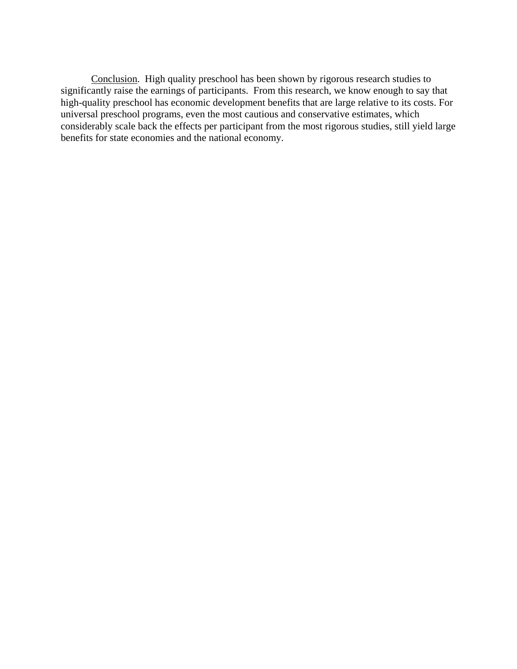Conclusion. High quality preschool has been shown by rigorous research studies to significantly raise the earnings of participants. From this research, we know enough to say that high-quality preschool has economic development benefits that are large relative to its costs. For universal preschool programs, even the most cautious and conservative estimates, which considerably scale back the effects per participant from the most rigorous studies, still yield large benefits for state economies and the national economy.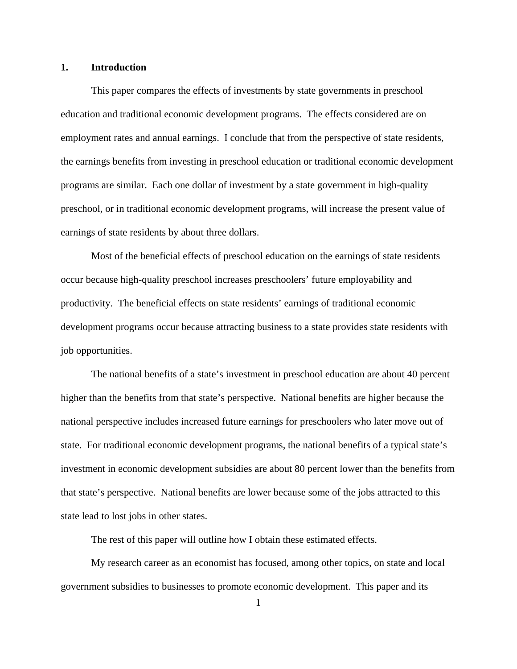#### **1. Introduction**

This paper compares the effects of investments by state governments in preschool education and traditional economic development programs. The effects considered are on employment rates and annual earnings. I conclude that from the perspective of state residents, the earnings benefits from investing in preschool education or traditional economic development programs are similar. Each one dollar of investment by a state government in high-quality preschool, or in traditional economic development programs, will increase the present value of earnings of state residents by about three dollars.

Most of the beneficial effects of preschool education on the earnings of state residents occur because high-quality preschool increases preschoolers' future employability and productivity. The beneficial effects on state residents' earnings of traditional economic development programs occur because attracting business to a state provides state residents with job opportunities.

The national benefits of a state's investment in preschool education are about 40 percent higher than the benefits from that state's perspective. National benefits are higher because the national perspective includes increased future earnings for preschoolers who later move out of state. For traditional economic development programs, the national benefits of a typical state's investment in economic development subsidies are about 80 percent lower than the benefits from that state's perspective. National benefits are lower because some of the jobs attracted to this state lead to lost jobs in other states.

The rest of this paper will outline how I obtain these estimated effects.

My research career as an economist has focused, among other topics, on state and local government subsidies to businesses to promote economic development. This paper and its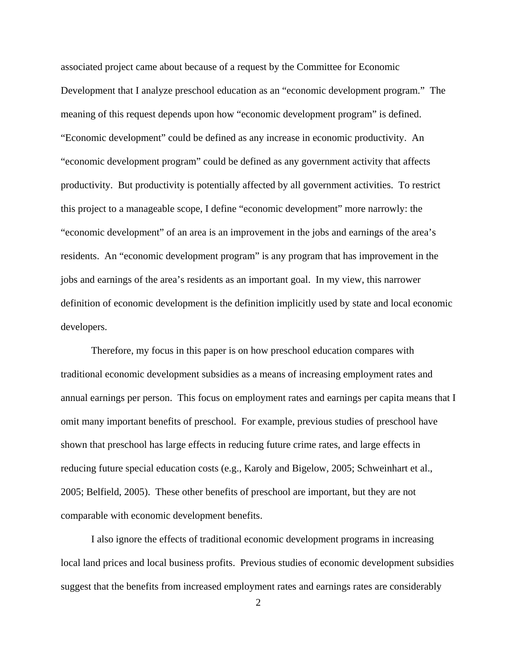associated project came about because of a request by the Committee for Economic Development that I analyze preschool education as an "economic development program." The meaning of this request depends upon how "economic development program" is defined. "Economic development" could be defined as any increase in economic productivity. An "economic development program" could be defined as any government activity that affects productivity. But productivity is potentially affected by all government activities. To restrict this project to a manageable scope, I define "economic development" more narrowly: the "economic development" of an area is an improvement in the jobs and earnings of the area's residents. An "economic development program" is any program that has improvement in the jobs and earnings of the area's residents as an important goal. In my view, this narrower definition of economic development is the definition implicitly used by state and local economic developers.

Therefore, my focus in this paper is on how preschool education compares with traditional economic development subsidies as a means of increasing employment rates and annual earnings per person. This focus on employment rates and earnings per capita means that I omit many important benefits of preschool. For example, previous studies of preschool have shown that preschool has large effects in reducing future crime rates, and large effects in reducing future special education costs (e.g., Karoly and Bigelow, 2005; Schweinhart et al., 2005; Belfield, 2005). These other benefits of preschool are important, but they are not comparable with economic development benefits.

I also ignore the effects of traditional economic development programs in increasing local land prices and local business profits. Previous studies of economic development subsidies suggest that the benefits from increased employment rates and earnings rates are considerably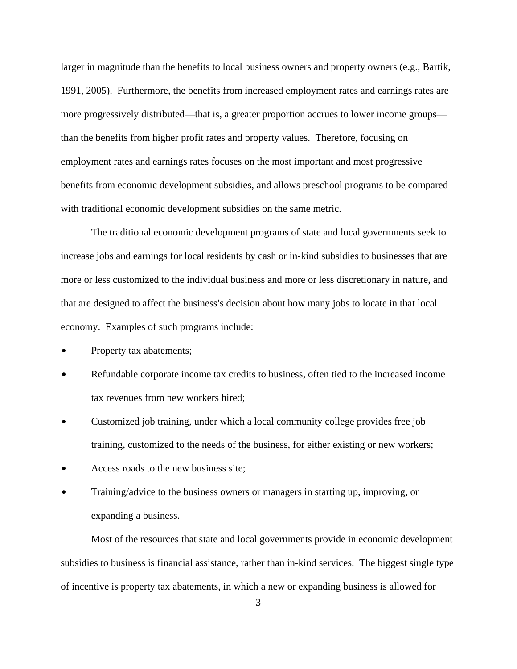larger in magnitude than the benefits to local business owners and property owners (e.g., Bartik, 1991, 2005). Furthermore, the benefits from increased employment rates and earnings rates are more progressively distributed—that is, a greater proportion accrues to lower income groups than the benefits from higher profit rates and property values. Therefore, focusing on employment rates and earnings rates focuses on the most important and most progressive benefits from economic development subsidies, and allows preschool programs to be compared with traditional economic development subsidies on the same metric.

The traditional economic development programs of state and local governments seek to increase jobs and earnings for local residents by cash or in-kind subsidies to businesses that are more or less customized to the individual business and more or less discretionary in nature, and that are designed to affect the business's decision about how many jobs to locate in that local economy. Examples of such programs include:

- Property tax abatements;
- Refundable corporate income tax credits to business, often tied to the increased income tax revenues from new workers hired;
- Customized job training, under which a local community college provides free job training, customized to the needs of the business, for either existing or new workers;
- Access roads to the new business site;
- Training/advice to the business owners or managers in starting up, improving, or expanding a business.

Most of the resources that state and local governments provide in economic development subsidies to business is financial assistance, rather than in-kind services. The biggest single type of incentive is property tax abatements, in which a new or expanding business is allowed for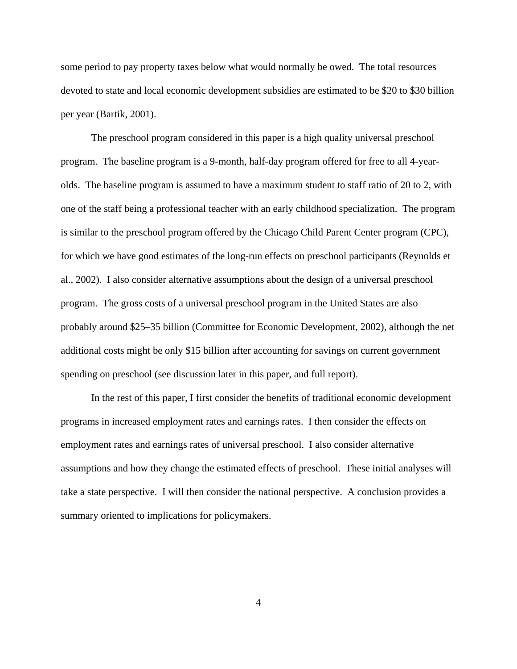some period to pay property taxes below what would normally be owed. The total resources devoted to state and local economic development subsidies are estimated to be \$20 to \$30 billion per year (Bartik, 2001).

The preschool program considered in this paper is a high quality universal preschool program. The baseline program is a 9-month, half-day program offered for free to all 4-yearolds. The baseline program is assumed to have a maximum student to staff ratio of 20 to 2, with one of the staff being a professional teacher with an early childhood specialization. The program is similar to the preschool program offered by the Chicago Child Parent Center program (CPC), for which we have good estimates of the long-run effects on preschool participants (Reynolds et al., 2002). I also consider alternative assumptions about the design of a universal preschool program. The gross costs of a universal preschool program in the United States are also probably around \$25–35 billion (Committee for Economic Development, 2002), although the net additional costs might be only \$15 billion after accounting for savings on current government spending on preschool (see discussion later in this paper, and full report).

In the rest of this paper, I first consider the benefits of traditional economic development programs in increased employment rates and earnings rates. I then consider the effects on employment rates and earnings rates of universal preschool. I also consider alternative assumptions and how they change the estimated effects of preschool. These initial analyses will take a state perspective. I will then consider the national perspective. A conclusion provides a summary oriented to implications for policymakers.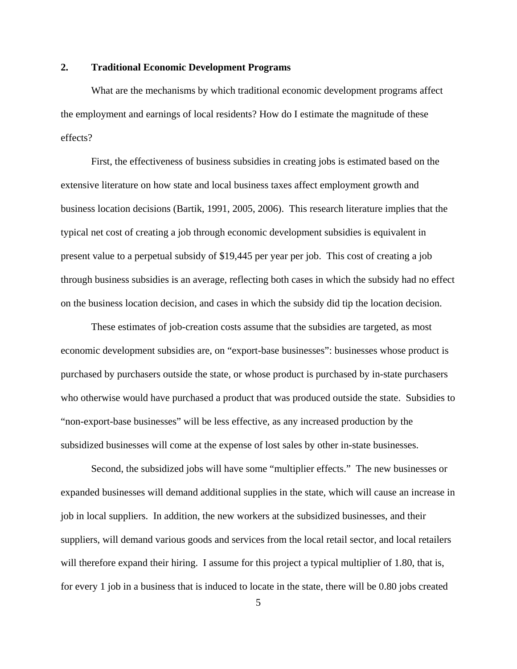#### **2. Traditional Economic Development Programs**

What are the mechanisms by which traditional economic development programs affect the employment and earnings of local residents? How do I estimate the magnitude of these effects?

First, the effectiveness of business subsidies in creating jobs is estimated based on the extensive literature on how state and local business taxes affect employment growth and business location decisions (Bartik, 1991, 2005, 2006). This research literature implies that the typical net cost of creating a job through economic development subsidies is equivalent in present value to a perpetual subsidy of \$19,445 per year per job. This cost of creating a job through business subsidies is an average, reflecting both cases in which the subsidy had no effect on the business location decision, and cases in which the subsidy did tip the location decision.

These estimates of job-creation costs assume that the subsidies are targeted, as most economic development subsidies are, on "export-base businesses": businesses whose product is purchased by purchasers outside the state, or whose product is purchased by in-state purchasers who otherwise would have purchased a product that was produced outside the state. Subsidies to "non-export-base businesses" will be less effective, as any increased production by the subsidized businesses will come at the expense of lost sales by other in-state businesses.

Second, the subsidized jobs will have some "multiplier effects." The new businesses or expanded businesses will demand additional supplies in the state, which will cause an increase in job in local suppliers. In addition, the new workers at the subsidized businesses, and their suppliers, will demand various goods and services from the local retail sector, and local retailers will therefore expand their hiring. I assume for this project a typical multiplier of 1.80, that is, for every 1 job in a business that is induced to locate in the state, there will be 0.80 jobs created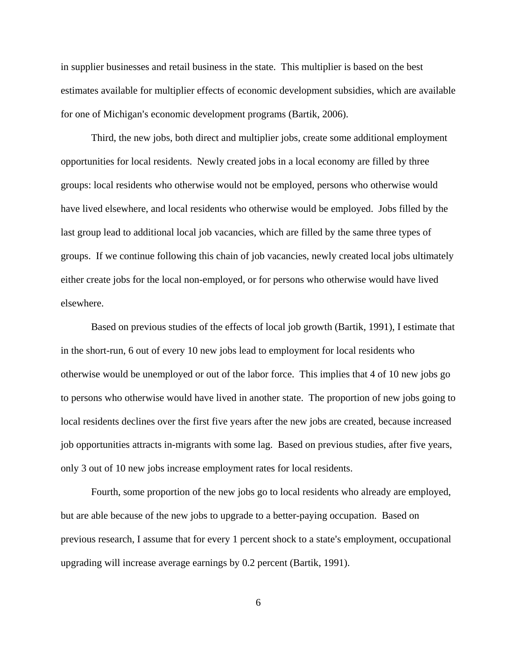in supplier businesses and retail business in the state. This multiplier is based on the best estimates available for multiplier effects of economic development subsidies, which are available for one of Michigan's economic development programs (Bartik, 2006).

Third, the new jobs, both direct and multiplier jobs, create some additional employment opportunities for local residents. Newly created jobs in a local economy are filled by three groups: local residents who otherwise would not be employed, persons who otherwise would have lived elsewhere, and local residents who otherwise would be employed. Jobs filled by the last group lead to additional local job vacancies, which are filled by the same three types of groups. If we continue following this chain of job vacancies, newly created local jobs ultimately either create jobs for the local non-employed, or for persons who otherwise would have lived elsewhere.

Based on previous studies of the effects of local job growth (Bartik, 1991), I estimate that in the short-run, 6 out of every 10 new jobs lead to employment for local residents who otherwise would be unemployed or out of the labor force. This implies that 4 of 10 new jobs go to persons who otherwise would have lived in another state. The proportion of new jobs going to local residents declines over the first five years after the new jobs are created, because increased job opportunities attracts in-migrants with some lag. Based on previous studies, after five years, only 3 out of 10 new jobs increase employment rates for local residents.

Fourth, some proportion of the new jobs go to local residents who already are employed, but are able because of the new jobs to upgrade to a better-paying occupation. Based on previous research, I assume that for every 1 percent shock to a state's employment, occupational upgrading will increase average earnings by 0.2 percent (Bartik, 1991).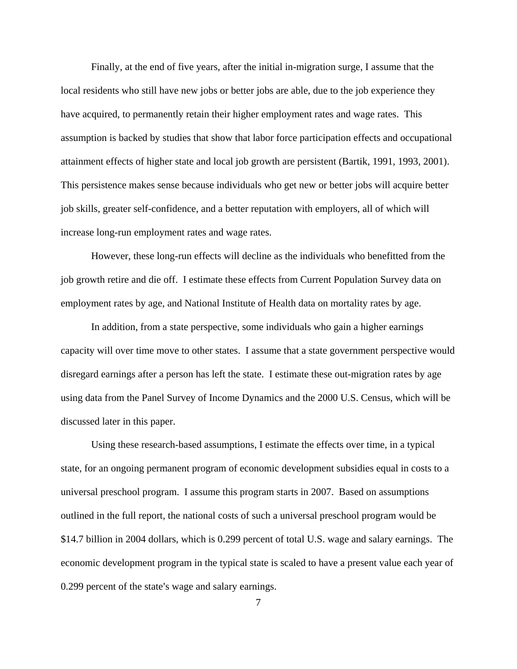Finally, at the end of five years, after the initial in-migration surge, I assume that the local residents who still have new jobs or better jobs are able, due to the job experience they have acquired, to permanently retain their higher employment rates and wage rates. This assumption is backed by studies that show that labor force participation effects and occupational attainment effects of higher state and local job growth are persistent (Bartik, 1991, 1993, 2001). This persistence makes sense because individuals who get new or better jobs will acquire better job skills, greater self-confidence, and a better reputation with employers, all of which will increase long-run employment rates and wage rates.

However, these long-run effects will decline as the individuals who benefitted from the job growth retire and die off. I estimate these effects from Current Population Survey data on employment rates by age, and National Institute of Health data on mortality rates by age.

In addition, from a state perspective, some individuals who gain a higher earnings capacity will over time move to other states. I assume that a state government perspective would disregard earnings after a person has left the state. I estimate these out-migration rates by age using data from the Panel Survey of Income Dynamics and the 2000 U.S. Census, which will be discussed later in this paper.

Using these research-based assumptions, I estimate the effects over time, in a typical state, for an ongoing permanent program of economic development subsidies equal in costs to a universal preschool program. I assume this program starts in 2007. Based on assumptions outlined in the full report, the national costs of such a universal preschool program would be \$14.7 billion in 2004 dollars, which is 0.299 percent of total U.S. wage and salary earnings. The economic development program in the typical state is scaled to have a present value each year of 0.299 percent of the state's wage and salary earnings.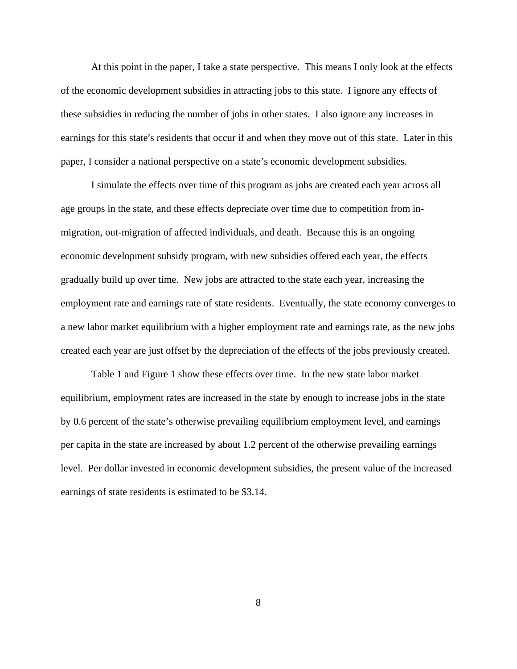At this point in the paper, I take a state perspective. This means I only look at the effects of the economic development subsidies in attracting jobs to this state. I ignore any effects of these subsidies in reducing the number of jobs in other states. I also ignore any increases in earnings for this state's residents that occur if and when they move out of this state. Later in this paper, I consider a national perspective on a state's economic development subsidies.

I simulate the effects over time of this program as jobs are created each year across all age groups in the state, and these effects depreciate over time due to competition from inmigration, out-migration of affected individuals, and death. Because this is an ongoing economic development subsidy program, with new subsidies offered each year, the effects gradually build up over time. New jobs are attracted to the state each year, increasing the employment rate and earnings rate of state residents. Eventually, the state economy converges to a new labor market equilibrium with a higher employment rate and earnings rate, as the new jobs created each year are just offset by the depreciation of the effects of the jobs previously created.

Table 1 and Figure 1 show these effects over time. In the new state labor market equilibrium, employment rates are increased in the state by enough to increase jobs in the state by 0.6 percent of the state's otherwise prevailing equilibrium employment level, and earnings per capita in the state are increased by about 1.2 percent of the otherwise prevailing earnings level. Per dollar invested in economic development subsidies, the present value of the increased earnings of state residents is estimated to be \$3.14.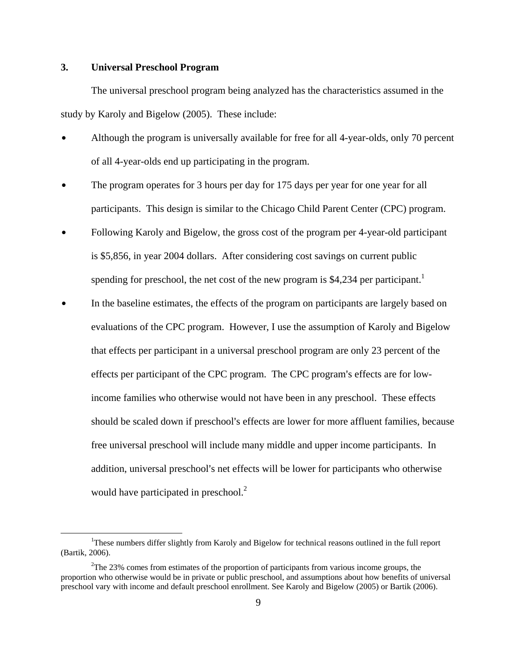#### **3. Universal Preschool Program**

The universal preschool program being analyzed has the characteristics assumed in the study by Karoly and Bigelow (2005). These include:

- Although the program is universally available for free for all 4-year-olds, only 70 percent of all 4-year-olds end up participating in the program.
- The program operates for 3 hours per day for 175 days per year for one year for all participants. This design is similar to the Chicago Child Parent Center (CPC) program.
- Following Karoly and Bigelow, the gross cost of the program per 4-year-old participant is \$5,856, in year 2004 dollars. After considering cost savings on current public spending for preschool, the net cost of the new program is \$4,234 per participant.<sup>1</sup>
- In the baseline estimates, the effects of the program on participants are largely based on evaluations of the CPC program. However, I use the assumption of Karoly and Bigelow that effects per participant in a universal preschool program are only 23 percent of the effects per participant of the CPC program. The CPC program's effects are for lowincome families who otherwise would not have been in any preschool. These effects should be scaled down if preschool's effects are lower for more affluent families, because free universal preschool will include many middle and upper income participants. In addition, universal preschool's net effects will be lower for participants who otherwise would have participated in preschool.<sup>2</sup>

 $\frac{1}{1}$ <sup>1</sup>These numbers differ slightly from Karoly and Bigelow for technical reasons outlined in the full report (Bartik, 2006).

 $2$ The 23% comes from estimates of the proportion of participants from various income groups, the proportion who otherwise would be in private or public preschool, and assumptions about how benefits of universal preschool vary with income and default preschool enrollment. See Karoly and Bigelow (2005) or Bartik (2006).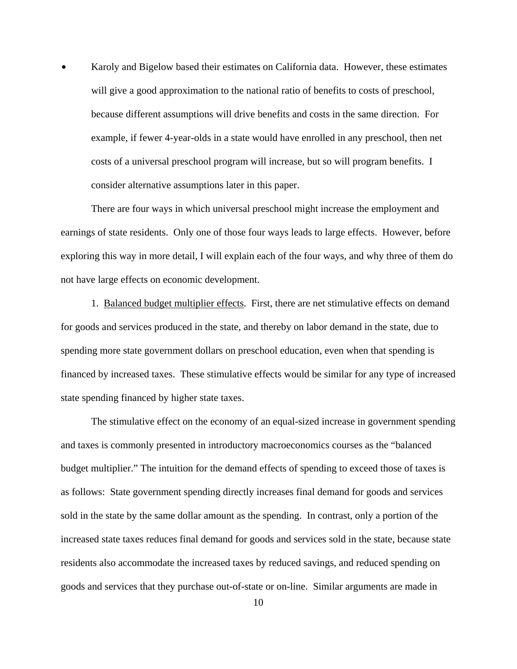Karoly and Bigelow based their estimates on California data. However, these estimates will give a good approximation to the national ratio of benefits to costs of preschool, because different assumptions will drive benefits and costs in the same direction. For example, if fewer 4-year-olds in a state would have enrolled in any preschool, then net costs of a universal preschool program will increase, but so will program benefits. I consider alternative assumptions later in this paper.

There are four ways in which universal preschool might increase the employment and earnings of state residents. Only one of those four ways leads to large effects. However, before exploring this way in more detail, I will explain each of the four ways, and why three of them do not have large effects on economic development.

1. Balanced budget multiplier effects. First, there are net stimulative effects on demand for goods and services produced in the state, and thereby on labor demand in the state, due to spending more state government dollars on preschool education, even when that spending is financed by increased taxes. These stimulative effects would be similar for any type of increased state spending financed by higher state taxes.

The stimulative effect on the economy of an equal-sized increase in government spending and taxes is commonly presented in introductory macroeconomics courses as the "balanced budget multiplier." The intuition for the demand effects of spending to exceed those of taxes is as follows: State government spending directly increases final demand for goods and services sold in the state by the same dollar amount as the spending. In contrast, only a portion of the increased state taxes reduces final demand for goods and services sold in the state, because state residents also accommodate the increased taxes by reduced savings, and reduced spending on goods and services that they purchase out-of-state or on-line. Similar arguments are made in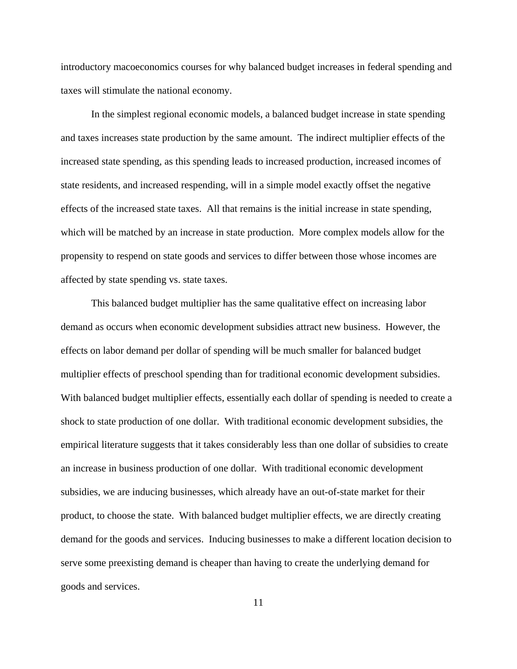introductory macoeconomics courses for why balanced budget increases in federal spending and taxes will stimulate the national economy.

In the simplest regional economic models, a balanced budget increase in state spending and taxes increases state production by the same amount. The indirect multiplier effects of the increased state spending, as this spending leads to increased production, increased incomes of state residents, and increased respending, will in a simple model exactly offset the negative effects of the increased state taxes. All that remains is the initial increase in state spending, which will be matched by an increase in state production. More complex models allow for the propensity to respend on state goods and services to differ between those whose incomes are affected by state spending vs. state taxes.

This balanced budget multiplier has the same qualitative effect on increasing labor demand as occurs when economic development subsidies attract new business. However, the effects on labor demand per dollar of spending will be much smaller for balanced budget multiplier effects of preschool spending than for traditional economic development subsidies. With balanced budget multiplier effects, essentially each dollar of spending is needed to create a shock to state production of one dollar. With traditional economic development subsidies, the empirical literature suggests that it takes considerably less than one dollar of subsidies to create an increase in business production of one dollar. With traditional economic development subsidies, we are inducing businesses, which already have an out-of-state market for their product, to choose the state. With balanced budget multiplier effects, we are directly creating demand for the goods and services. Inducing businesses to make a different location decision to serve some preexisting demand is cheaper than having to create the underlying demand for goods and services.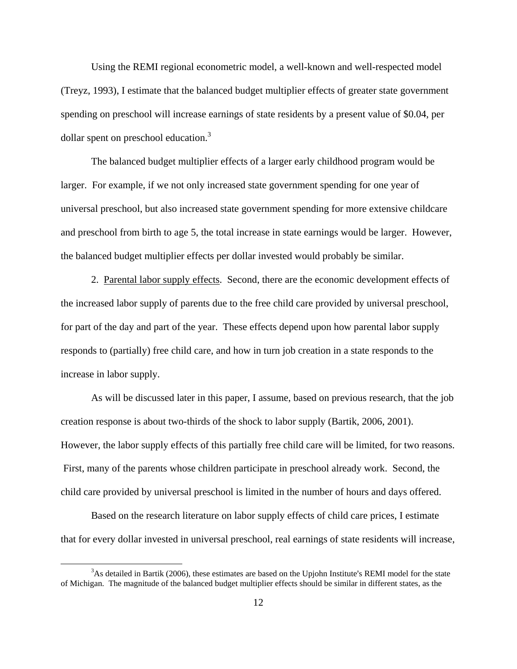Using the REMI regional econometric model, a well-known and well-respected model (Treyz, 1993), I estimate that the balanced budget multiplier effects of greater state government spending on preschool will increase earnings of state residents by a present value of \$0.04, per dollar spent on preschool education.<sup>3</sup>

The balanced budget multiplier effects of a larger early childhood program would be larger. For example, if we not only increased state government spending for one year of universal preschool, but also increased state government spending for more extensive childcare and preschool from birth to age 5, the total increase in state earnings would be larger. However, the balanced budget multiplier effects per dollar invested would probably be similar.

2. Parental labor supply effects. Second, there are the economic development effects of the increased labor supply of parents due to the free child care provided by universal preschool, for part of the day and part of the year. These effects depend upon how parental labor supply responds to (partially) free child care, and how in turn job creation in a state responds to the increase in labor supply.

As will be discussed later in this paper, I assume, based on previous research, that the job creation response is about two-thirds of the shock to labor supply (Bartik, 2006, 2001). However, the labor supply effects of this partially free child care will be limited, for two reasons. First, many of the parents whose children participate in preschool already work. Second, the child care provided by universal preschool is limited in the number of hours and days offered.

Based on the research literature on labor supply effects of child care prices, I estimate that for every dollar invested in universal preschool, real earnings of state residents will increase,

 <sup>3</sup>  $A<sup>3</sup>$ As detailed in Bartik (2006), these estimates are based on the Upjohn Institute's REMI model for the state of Michigan. The magnitude of the balanced budget multiplier effects should be similar in different states, as the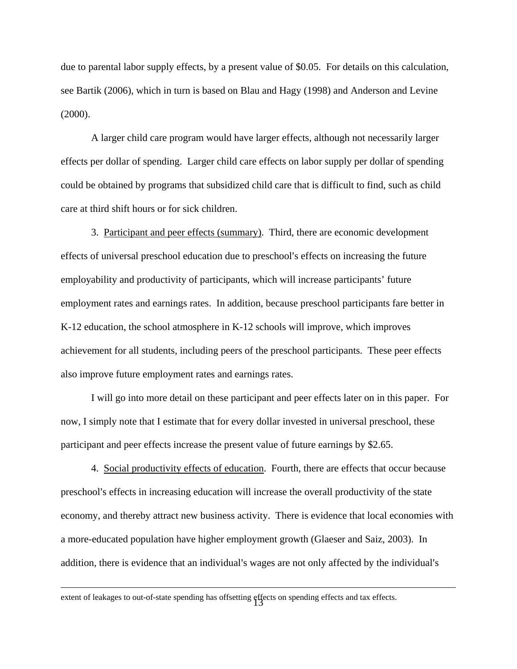due to parental labor supply effects, by a present value of \$0.05. For details on this calculation, see Bartik (2006), which in turn is based on Blau and Hagy (1998) and Anderson and Levine (2000).

A larger child care program would have larger effects, although not necessarily larger effects per dollar of spending. Larger child care effects on labor supply per dollar of spending could be obtained by programs that subsidized child care that is difficult to find, such as child care at third shift hours or for sick children.

3. Participant and peer effects (summary). Third, there are economic development effects of universal preschool education due to preschool's effects on increasing the future employability and productivity of participants, which will increase participants' future employment rates and earnings rates. In addition, because preschool participants fare better in K-12 education, the school atmosphere in K-12 schools will improve, which improves achievement for all students, including peers of the preschool participants. These peer effects also improve future employment rates and earnings rates.

I will go into more detail on these participant and peer effects later on in this paper. For now, I simply note that I estimate that for every dollar invested in universal preschool, these participant and peer effects increase the present value of future earnings by \$2.65.

4. Social productivity effects of education. Fourth, there are effects that occur because preschool's effects in increasing education will increase the overall productivity of the state economy, and thereby attract new business activity. There is evidence that local economies with a more-educated population have higher employment growth (Glaeser and Saiz, 2003). In addition, there is evidence that an individual's wages are not only affected by the individual's

extent of leakages to out-of-state spending has offsetting effects on spending effects and tax effects.<br>
<sup>13</sup>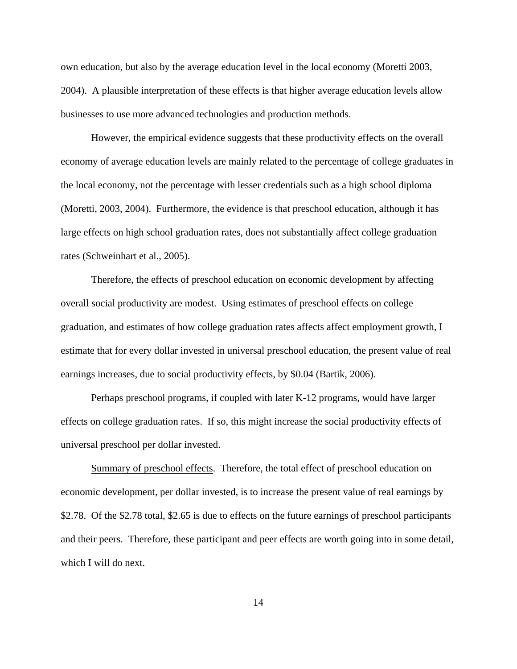own education, but also by the average education level in the local economy (Moretti 2003, 2004). A plausible interpretation of these effects is that higher average education levels allow businesses to use more advanced technologies and production methods.

However, the empirical evidence suggests that these productivity effects on the overall economy of average education levels are mainly related to the percentage of college graduates in the local economy, not the percentage with lesser credentials such as a high school diploma (Moretti, 2003, 2004). Furthermore, the evidence is that preschool education, although it has large effects on high school graduation rates, does not substantially affect college graduation rates (Schweinhart et al., 2005).

Therefore, the effects of preschool education on economic development by affecting overall social productivity are modest. Using estimates of preschool effects on college graduation, and estimates of how college graduation rates affects affect employment growth, I estimate that for every dollar invested in universal preschool education, the present value of real earnings increases, due to social productivity effects, by \$0.04 (Bartik, 2006).

Perhaps preschool programs, if coupled with later K-12 programs, would have larger effects on college graduation rates. If so, this might increase the social productivity effects of universal preschool per dollar invested.

Summary of preschool effects. Therefore, the total effect of preschool education on economic development, per dollar invested, is to increase the present value of real earnings by \$2.78. Of the \$2.78 total, \$2.65 is due to effects on the future earnings of preschool participants and their peers. Therefore, these participant and peer effects are worth going into in some detail, which I will do next.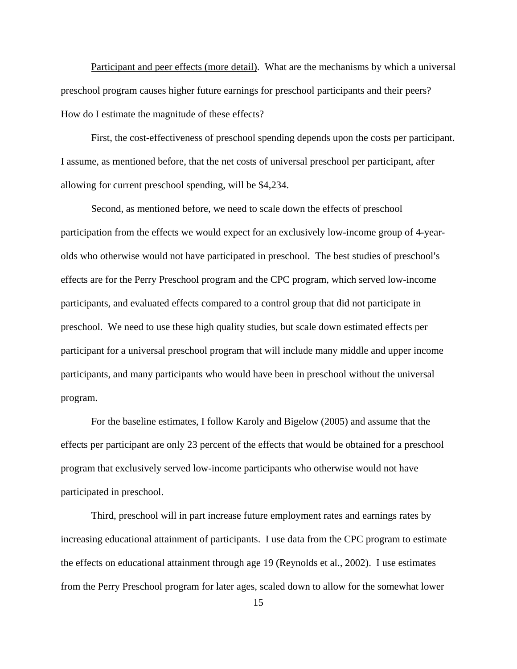Participant and peer effects (more detail). What are the mechanisms by which a universal preschool program causes higher future earnings for preschool participants and their peers? How do I estimate the magnitude of these effects?

First, the cost-effectiveness of preschool spending depends upon the costs per participant. I assume, as mentioned before, that the net costs of universal preschool per participant, after allowing for current preschool spending, will be \$4,234.

Second, as mentioned before, we need to scale down the effects of preschool participation from the effects we would expect for an exclusively low-income group of 4-yearolds who otherwise would not have participated in preschool. The best studies of preschool's effects are for the Perry Preschool program and the CPC program, which served low-income participants, and evaluated effects compared to a control group that did not participate in preschool. We need to use these high quality studies, but scale down estimated effects per participant for a universal preschool program that will include many middle and upper income participants, and many participants who would have been in preschool without the universal program.

For the baseline estimates, I follow Karoly and Bigelow (2005) and assume that the effects per participant are only 23 percent of the effects that would be obtained for a preschool program that exclusively served low-income participants who otherwise would not have participated in preschool.

Third, preschool will in part increase future employment rates and earnings rates by increasing educational attainment of participants. I use data from the CPC program to estimate the effects on educational attainment through age 19 (Reynolds et al., 2002). I use estimates from the Perry Preschool program for later ages, scaled down to allow for the somewhat lower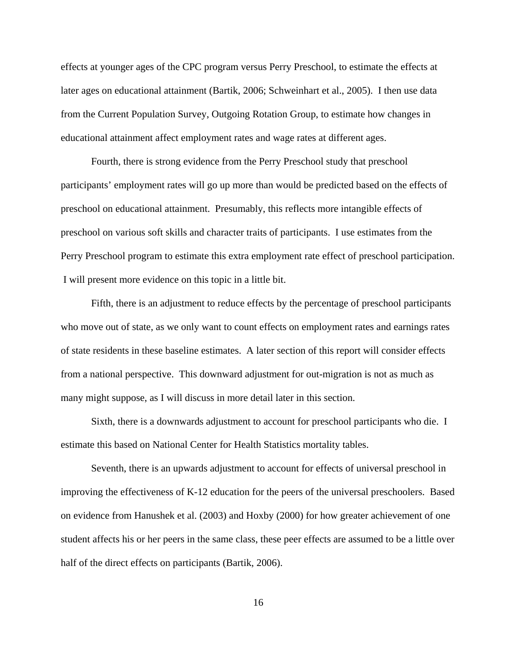effects at younger ages of the CPC program versus Perry Preschool, to estimate the effects at later ages on educational attainment (Bartik, 2006; Schweinhart et al., 2005). I then use data from the Current Population Survey, Outgoing Rotation Group, to estimate how changes in educational attainment affect employment rates and wage rates at different ages.

Fourth, there is strong evidence from the Perry Preschool study that preschool participants' employment rates will go up more than would be predicted based on the effects of preschool on educational attainment. Presumably, this reflects more intangible effects of preschool on various soft skills and character traits of participants. I use estimates from the Perry Preschool program to estimate this extra employment rate effect of preschool participation. I will present more evidence on this topic in a little bit.

Fifth, there is an adjustment to reduce effects by the percentage of preschool participants who move out of state, as we only want to count effects on employment rates and earnings rates of state residents in these baseline estimates. A later section of this report will consider effects from a national perspective. This downward adjustment for out-migration is not as much as many might suppose, as I will discuss in more detail later in this section.

Sixth, there is a downwards adjustment to account for preschool participants who die. I estimate this based on National Center for Health Statistics mortality tables.

Seventh, there is an upwards adjustment to account for effects of universal preschool in improving the effectiveness of K-12 education for the peers of the universal preschoolers. Based on evidence from Hanushek et al. (2003) and Hoxby (2000) for how greater achievement of one student affects his or her peers in the same class, these peer effects are assumed to be a little over half of the direct effects on participants (Bartik, 2006).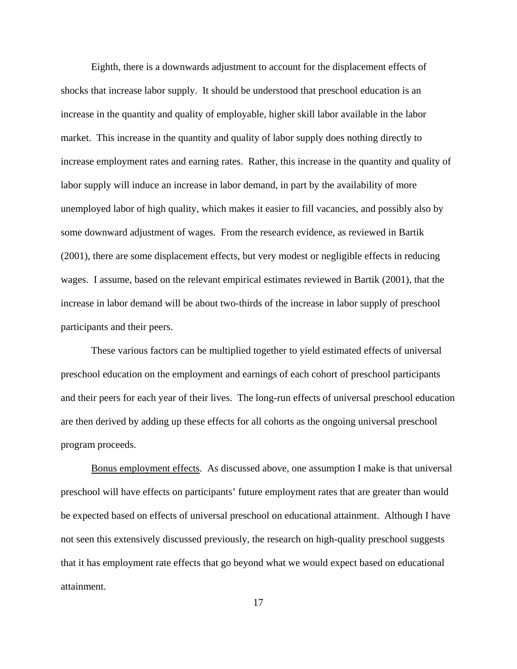Eighth, there is a downwards adjustment to account for the displacement effects of shocks that increase labor supply. It should be understood that preschool education is an increase in the quantity and quality of employable, higher skill labor available in the labor market. This increase in the quantity and quality of labor supply does nothing directly to increase employment rates and earning rates. Rather, this increase in the quantity and quality of labor supply will induce an increase in labor demand, in part by the availability of more unemployed labor of high quality, which makes it easier to fill vacancies, and possibly also by some downward adjustment of wages. From the research evidence, as reviewed in Bartik (2001), there are some displacement effects, but very modest or negligible effects in reducing wages. I assume, based on the relevant empirical estimates reviewed in Bartik (2001), that the increase in labor demand will be about two-thirds of the increase in labor supply of preschool participants and their peers.

These various factors can be multiplied together to yield estimated effects of universal preschool education on the employment and earnings of each cohort of preschool participants and their peers for each year of their lives. The long-run effects of universal preschool education are then derived by adding up these effects for all cohorts as the ongoing universal preschool program proceeds.

Bonus employment effects. As discussed above, one assumption I make is that universal preschool will have effects on participants' future employment rates that are greater than would be expected based on effects of universal preschool on educational attainment. Although I have not seen this extensively discussed previously, the research on high-quality preschool suggests that it has employment rate effects that go beyond what we would expect based on educational attainment.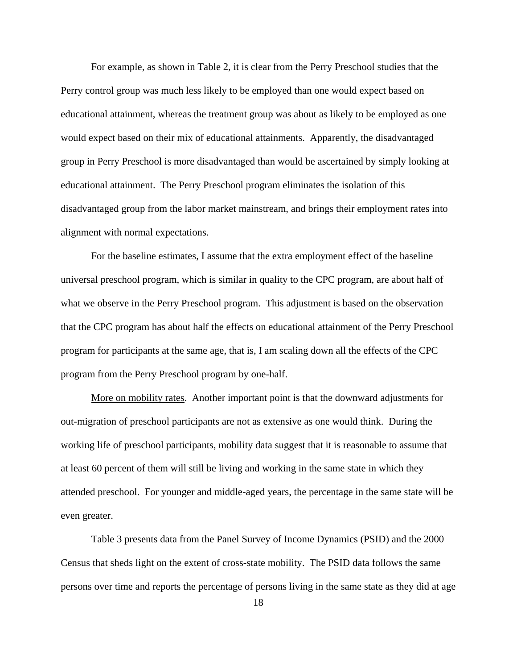For example, as shown in Table 2, it is clear from the Perry Preschool studies that the Perry control group was much less likely to be employed than one would expect based on educational attainment, whereas the treatment group was about as likely to be employed as one would expect based on their mix of educational attainments. Apparently, the disadvantaged group in Perry Preschool is more disadvantaged than would be ascertained by simply looking at educational attainment. The Perry Preschool program eliminates the isolation of this disadvantaged group from the labor market mainstream, and brings their employment rates into alignment with normal expectations.

For the baseline estimates, I assume that the extra employment effect of the baseline universal preschool program, which is similar in quality to the CPC program, are about half of what we observe in the Perry Preschool program. This adjustment is based on the observation that the CPC program has about half the effects on educational attainment of the Perry Preschool program for participants at the same age, that is, I am scaling down all the effects of the CPC program from the Perry Preschool program by one-half.

More on mobility rates. Another important point is that the downward adjustments for out-migration of preschool participants are not as extensive as one would think. During the working life of preschool participants, mobility data suggest that it is reasonable to assume that at least 60 percent of them will still be living and working in the same state in which they attended preschool. For younger and middle-aged years, the percentage in the same state will be even greater.

Table 3 presents data from the Panel Survey of Income Dynamics (PSID) and the 2000 Census that sheds light on the extent of cross-state mobility. The PSID data follows the same persons over time and reports the percentage of persons living in the same state as they did at age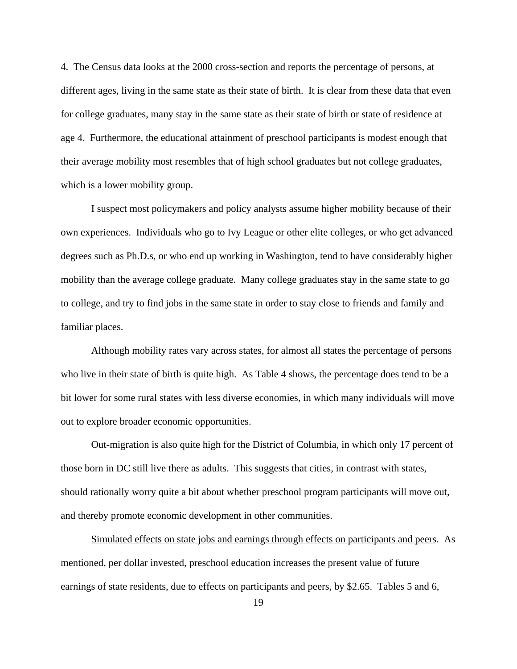4. The Census data looks at the 2000 cross-section and reports the percentage of persons, at different ages, living in the same state as their state of birth. It is clear from these data that even for college graduates, many stay in the same state as their state of birth or state of residence at age 4. Furthermore, the educational attainment of preschool participants is modest enough that their average mobility most resembles that of high school graduates but not college graduates, which is a lower mobility group.

I suspect most policymakers and policy analysts assume higher mobility because of their own experiences. Individuals who go to Ivy League or other elite colleges, or who get advanced degrees such as Ph.D.s, or who end up working in Washington, tend to have considerably higher mobility than the average college graduate. Many college graduates stay in the same state to go to college, and try to find jobs in the same state in order to stay close to friends and family and familiar places.

Although mobility rates vary across states, for almost all states the percentage of persons who live in their state of birth is quite high. As Table 4 shows, the percentage does tend to be a bit lower for some rural states with less diverse economies, in which many individuals will move out to explore broader economic opportunities.

Out-migration is also quite high for the District of Columbia, in which only 17 percent of those born in DC still live there as adults. This suggests that cities, in contrast with states, should rationally worry quite a bit about whether preschool program participants will move out, and thereby promote economic development in other communities.

Simulated effects on state jobs and earnings through effects on participants and peers. As mentioned, per dollar invested, preschool education increases the present value of future earnings of state residents, due to effects on participants and peers, by \$2.65. Tables 5 and 6,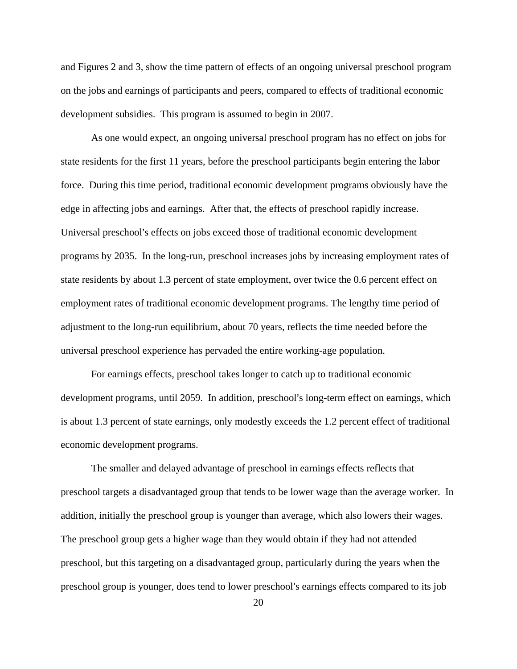and Figures 2 and 3, show the time pattern of effects of an ongoing universal preschool program on the jobs and earnings of participants and peers, compared to effects of traditional economic development subsidies. This program is assumed to begin in 2007.

As one would expect, an ongoing universal preschool program has no effect on jobs for state residents for the first 11 years, before the preschool participants begin entering the labor force. During this time period, traditional economic development programs obviously have the edge in affecting jobs and earnings. After that, the effects of preschool rapidly increase. Universal preschool's effects on jobs exceed those of traditional economic development programs by 2035. In the long-run, preschool increases jobs by increasing employment rates of state residents by about 1.3 percent of state employment, over twice the 0.6 percent effect on employment rates of traditional economic development programs. The lengthy time period of adjustment to the long-run equilibrium, about 70 years, reflects the time needed before the universal preschool experience has pervaded the entire working-age population.

For earnings effects, preschool takes longer to catch up to traditional economic development programs, until 2059. In addition, preschool's long-term effect on earnings, which is about 1.3 percent of state earnings, only modestly exceeds the 1.2 percent effect of traditional economic development programs.

The smaller and delayed advantage of preschool in earnings effects reflects that preschool targets a disadvantaged group that tends to be lower wage than the average worker. In addition, initially the preschool group is younger than average, which also lowers their wages. The preschool group gets a higher wage than they would obtain if they had not attended preschool, but this targeting on a disadvantaged group, particularly during the years when the preschool group is younger, does tend to lower preschool's earnings effects compared to its job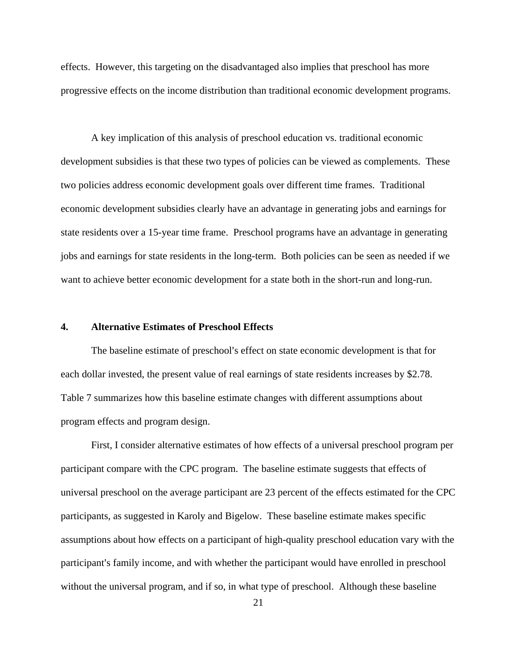effects. However, this targeting on the disadvantaged also implies that preschool has more progressive effects on the income distribution than traditional economic development programs.

A key implication of this analysis of preschool education vs. traditional economic development subsidies is that these two types of policies can be viewed as complements. These two policies address economic development goals over different time frames. Traditional economic development subsidies clearly have an advantage in generating jobs and earnings for state residents over a 15-year time frame. Preschool programs have an advantage in generating jobs and earnings for state residents in the long-term. Both policies can be seen as needed if we want to achieve better economic development for a state both in the short-run and long-run.

#### **4. Alternative Estimates of Preschool Effects**

The baseline estimate of preschool's effect on state economic development is that for each dollar invested, the present value of real earnings of state residents increases by \$2.78. Table 7 summarizes how this baseline estimate changes with different assumptions about program effects and program design.

First, I consider alternative estimates of how effects of a universal preschool program per participant compare with the CPC program. The baseline estimate suggests that effects of universal preschool on the average participant are 23 percent of the effects estimated for the CPC participants, as suggested in Karoly and Bigelow. These baseline estimate makes specific assumptions about how effects on a participant of high-quality preschool education vary with the participant's family income, and with whether the participant would have enrolled in preschool without the universal program, and if so, in what type of preschool. Although these baseline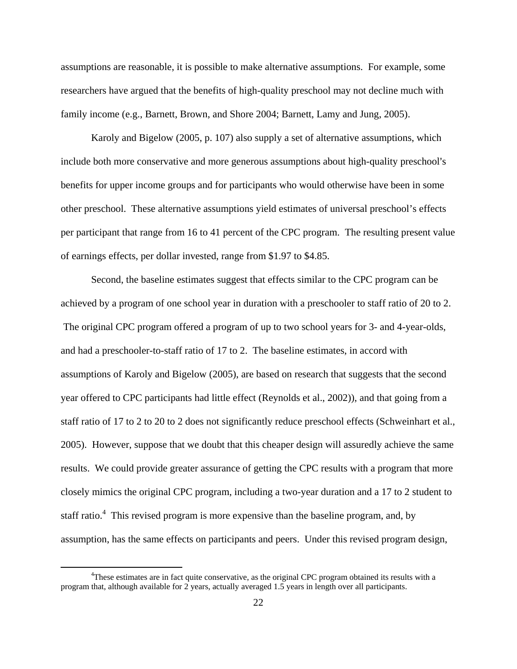assumptions are reasonable, it is possible to make alternative assumptions. For example, some researchers have argued that the benefits of high-quality preschool may not decline much with family income (e.g., Barnett, Brown, and Shore 2004; Barnett, Lamy and Jung, 2005).

Karoly and Bigelow (2005, p. 107) also supply a set of alternative assumptions, which include both more conservative and more generous assumptions about high-quality preschool's benefits for upper income groups and for participants who would otherwise have been in some other preschool. These alternative assumptions yield estimates of universal preschool's effects per participant that range from 16 to 41 percent of the CPC program. The resulting present value of earnings effects, per dollar invested, range from \$1.97 to \$4.85.

Second, the baseline estimates suggest that effects similar to the CPC program can be achieved by a program of one school year in duration with a preschooler to staff ratio of 20 to 2. The original CPC program offered a program of up to two school years for 3- and 4-year-olds, and had a preschooler-to-staff ratio of 17 to 2. The baseline estimates, in accord with assumptions of Karoly and Bigelow (2005), are based on research that suggests that the second year offered to CPC participants had little effect (Reynolds et al., 2002)), and that going from a staff ratio of 17 to 2 to 20 to 2 does not significantly reduce preschool effects (Schweinhart et al., 2005). However, suppose that we doubt that this cheaper design will assuredly achieve the same results. We could provide greater assurance of getting the CPC results with a program that more closely mimics the original CPC program, including a two-year duration and a 17 to 2 student to staff ratio.<sup>4</sup> This revised program is more expensive than the baseline program, and, by assumption, has the same effects on participants and peers. Under this revised program design,

 $\frac{1}{4}$ <sup>4</sup>These estimates are in fact quite conservative, as the original CPC program obtained its results with a program that, although available for 2 years, actually averaged 1.5 years in length over all participants.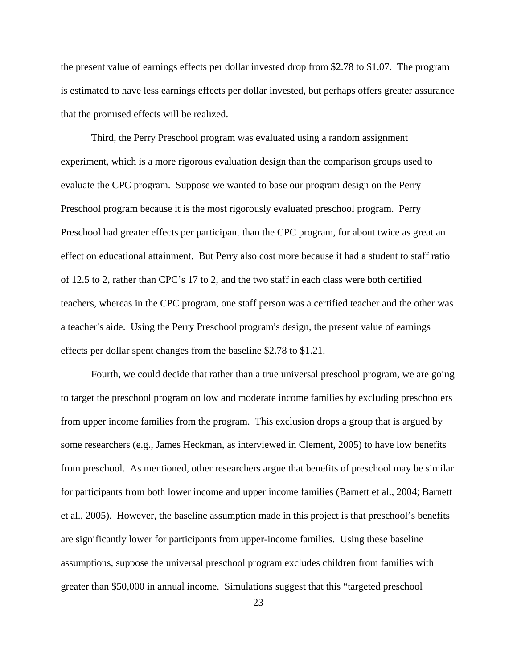the present value of earnings effects per dollar invested drop from \$2.78 to \$1.07. The program is estimated to have less earnings effects per dollar invested, but perhaps offers greater assurance that the promised effects will be realized.

Third, the Perry Preschool program was evaluated using a random assignment experiment, which is a more rigorous evaluation design than the comparison groups used to evaluate the CPC program. Suppose we wanted to base our program design on the Perry Preschool program because it is the most rigorously evaluated preschool program. Perry Preschool had greater effects per participant than the CPC program, for about twice as great an effect on educational attainment. But Perry also cost more because it had a student to staff ratio of 12.5 to 2, rather than CPC's 17 to 2, and the two staff in each class were both certified teachers, whereas in the CPC program, one staff person was a certified teacher and the other was a teacher's aide. Using the Perry Preschool program's design, the present value of earnings effects per dollar spent changes from the baseline \$2.78 to \$1.21.

Fourth, we could decide that rather than a true universal preschool program, we are going to target the preschool program on low and moderate income families by excluding preschoolers from upper income families from the program. This exclusion drops a group that is argued by some researchers (e.g., James Heckman, as interviewed in Clement, 2005) to have low benefits from preschool. As mentioned, other researchers argue that benefits of preschool may be similar for participants from both lower income and upper income families (Barnett et al., 2004; Barnett et al., 2005). However, the baseline assumption made in this project is that preschool's benefits are significantly lower for participants from upper-income families. Using these baseline assumptions, suppose the universal preschool program excludes children from families with greater than \$50,000 in annual income. Simulations suggest that this "targeted preschool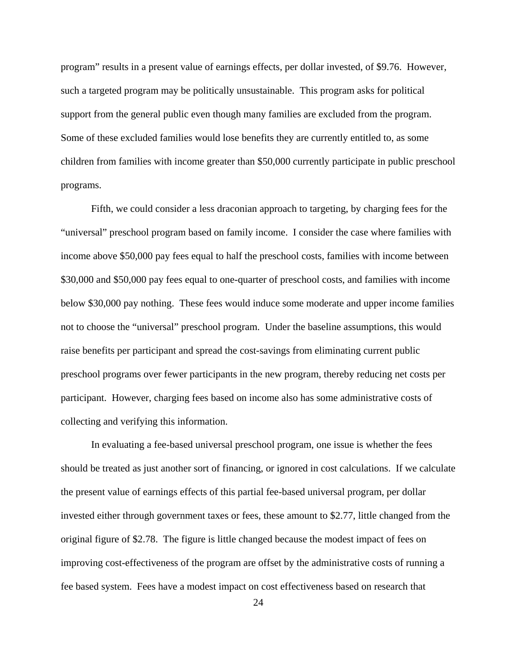program" results in a present value of earnings effects, per dollar invested, of \$9.76. However, such a targeted program may be politically unsustainable. This program asks for political support from the general public even though many families are excluded from the program. Some of these excluded families would lose benefits they are currently entitled to, as some children from families with income greater than \$50,000 currently participate in public preschool programs.

Fifth, we could consider a less draconian approach to targeting, by charging fees for the "universal" preschool program based on family income. I consider the case where families with income above \$50,000 pay fees equal to half the preschool costs, families with income between \$30,000 and \$50,000 pay fees equal to one-quarter of preschool costs, and families with income below \$30,000 pay nothing. These fees would induce some moderate and upper income families not to choose the "universal" preschool program. Under the baseline assumptions, this would raise benefits per participant and spread the cost-savings from eliminating current public preschool programs over fewer participants in the new program, thereby reducing net costs per participant. However, charging fees based on income also has some administrative costs of collecting and verifying this information.

In evaluating a fee-based universal preschool program, one issue is whether the fees should be treated as just another sort of financing, or ignored in cost calculations. If we calculate the present value of earnings effects of this partial fee-based universal program, per dollar invested either through government taxes or fees, these amount to \$2.77, little changed from the original figure of \$2.78. The figure is little changed because the modest impact of fees on improving cost-effectiveness of the program are offset by the administrative costs of running a fee based system. Fees have a modest impact on cost effectiveness based on research that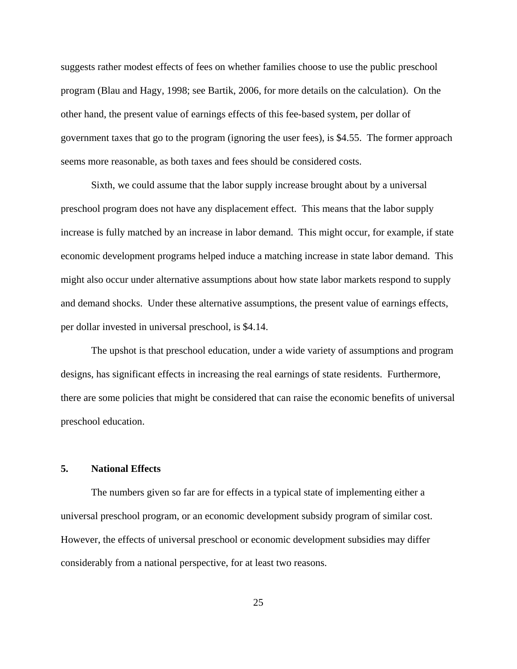suggests rather modest effects of fees on whether families choose to use the public preschool program (Blau and Hagy, 1998; see Bartik, 2006, for more details on the calculation). On the other hand, the present value of earnings effects of this fee-based system, per dollar of government taxes that go to the program (ignoring the user fees), is \$4.55. The former approach seems more reasonable, as both taxes and fees should be considered costs.

Sixth, we could assume that the labor supply increase brought about by a universal preschool program does not have any displacement effect. This means that the labor supply increase is fully matched by an increase in labor demand. This might occur, for example, if state economic development programs helped induce a matching increase in state labor demand. This might also occur under alternative assumptions about how state labor markets respond to supply and demand shocks. Under these alternative assumptions, the present value of earnings effects, per dollar invested in universal preschool, is \$4.14.

The upshot is that preschool education, under a wide variety of assumptions and program designs, has significant effects in increasing the real earnings of state residents. Furthermore, there are some policies that might be considered that can raise the economic benefits of universal preschool education.

#### **5. National Effects**

The numbers given so far are for effects in a typical state of implementing either a universal preschool program, or an economic development subsidy program of similar cost. However, the effects of universal preschool or economic development subsidies may differ considerably from a national perspective, for at least two reasons.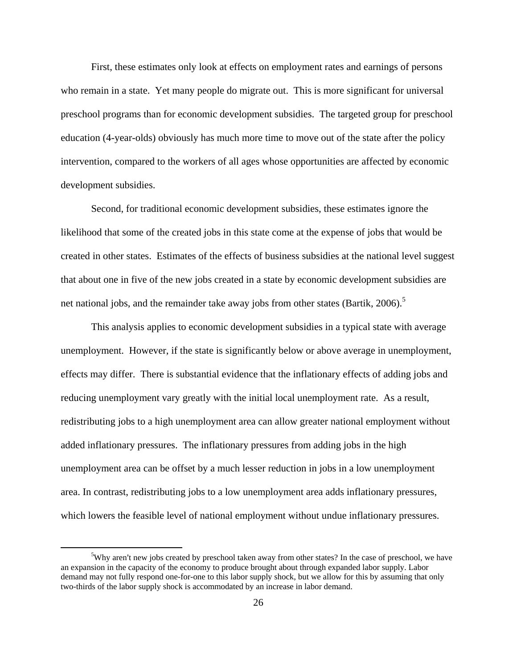First, these estimates only look at effects on employment rates and earnings of persons who remain in a state. Yet many people do migrate out. This is more significant for universal preschool programs than for economic development subsidies. The targeted group for preschool education (4-year-olds) obviously has much more time to move out of the state after the policy intervention, compared to the workers of all ages whose opportunities are affected by economic development subsidies.

Second, for traditional economic development subsidies, these estimates ignore the likelihood that some of the created jobs in this state come at the expense of jobs that would be created in other states. Estimates of the effects of business subsidies at the national level suggest that about one in five of the new jobs created in a state by economic development subsidies are net national jobs, and the remainder take away jobs from other states (Bartik, 2006).<sup>5</sup>

This analysis applies to economic development subsidies in a typical state with average unemployment. However, if the state is significantly below or above average in unemployment, effects may differ. There is substantial evidence that the inflationary effects of adding jobs and reducing unemployment vary greatly with the initial local unemployment rate. As a result, redistributing jobs to a high unemployment area can allow greater national employment without added inflationary pressures. The inflationary pressures from adding jobs in the high unemployment area can be offset by a much lesser reduction in jobs in a low unemployment area. In contrast, redistributing jobs to a low unemployment area adds inflationary pressures, which lowers the feasible level of national employment without undue inflationary pressures.

 $rac{1}{5}$ <sup>5</sup>Why aren't new jobs created by preschool taken away from other states? In the case of preschool, we have an expansion in the capacity of the economy to produce brought about through expanded labor supply. Labor demand may not fully respond one-for-one to this labor supply shock, but we allow for this by assuming that only two-thirds of the labor supply shock is accommodated by an increase in labor demand.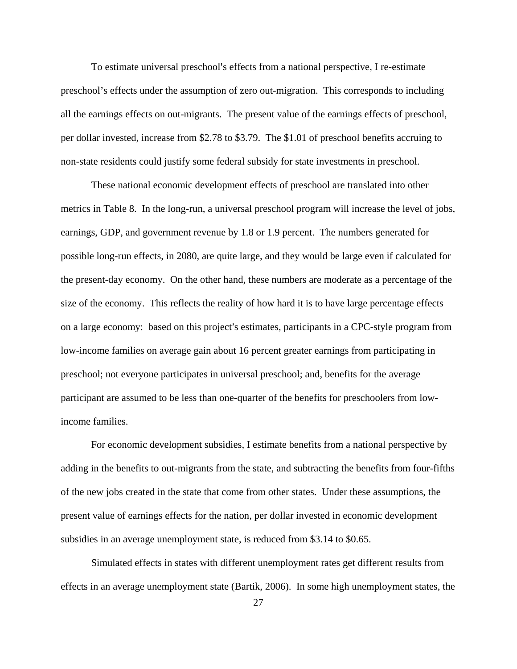To estimate universal preschool's effects from a national perspective, I re-estimate preschool's effects under the assumption of zero out-migration. This corresponds to including all the earnings effects on out-migrants. The present value of the earnings effects of preschool, per dollar invested, increase from \$2.78 to \$3.79. The \$1.01 of preschool benefits accruing to non-state residents could justify some federal subsidy for state investments in preschool.

These national economic development effects of preschool are translated into other metrics in Table 8. In the long-run, a universal preschool program will increase the level of jobs, earnings, GDP, and government revenue by 1.8 or 1.9 percent. The numbers generated for possible long-run effects, in 2080, are quite large, and they would be large even if calculated for the present-day economy. On the other hand, these numbers are moderate as a percentage of the size of the economy. This reflects the reality of how hard it is to have large percentage effects on a large economy: based on this project's estimates, participants in a CPC-style program from low-income families on average gain about 16 percent greater earnings from participating in preschool; not everyone participates in universal preschool; and, benefits for the average participant are assumed to be less than one-quarter of the benefits for preschoolers from lowincome families.

For economic development subsidies, I estimate benefits from a national perspective by adding in the benefits to out-migrants from the state, and subtracting the benefits from four-fifths of the new jobs created in the state that come from other states. Under these assumptions, the present value of earnings effects for the nation, per dollar invested in economic development subsidies in an average unemployment state, is reduced from \$3.14 to \$0.65.

Simulated effects in states with different unemployment rates get different results from effects in an average unemployment state (Bartik, 2006). In some high unemployment states, the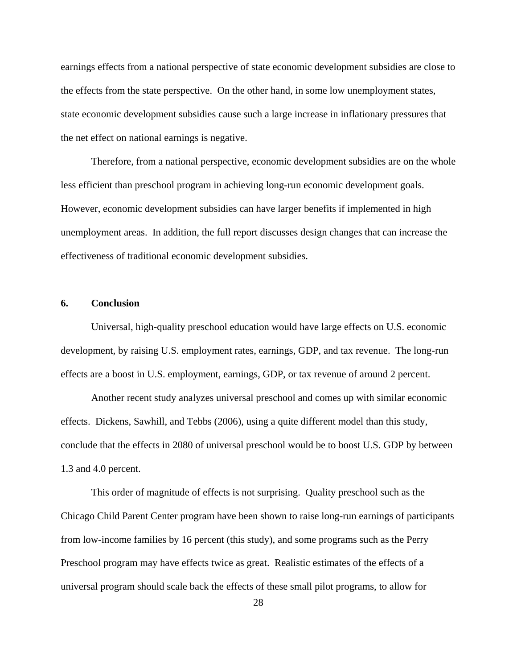earnings effects from a national perspective of state economic development subsidies are close to the effects from the state perspective. On the other hand, in some low unemployment states, state economic development subsidies cause such a large increase in inflationary pressures that the net effect on national earnings is negative.

Therefore, from a national perspective, economic development subsidies are on the whole less efficient than preschool program in achieving long-run economic development goals. However, economic development subsidies can have larger benefits if implemented in high unemployment areas. In addition, the full report discusses design changes that can increase the effectiveness of traditional economic development subsidies.

#### **6. Conclusion**

Universal, high-quality preschool education would have large effects on U.S. economic development, by raising U.S. employment rates, earnings, GDP, and tax revenue. The long-run effects are a boost in U.S. employment, earnings, GDP, or tax revenue of around 2 percent.

Another recent study analyzes universal preschool and comes up with similar economic effects. Dickens, Sawhill, and Tebbs (2006), using a quite different model than this study, conclude that the effects in 2080 of universal preschool would be to boost U.S. GDP by between 1.3 and 4.0 percent.

This order of magnitude of effects is not surprising. Quality preschool such as the Chicago Child Parent Center program have been shown to raise long-run earnings of participants from low-income families by 16 percent (this study), and some programs such as the Perry Preschool program may have effects twice as great. Realistic estimates of the effects of a universal program should scale back the effects of these small pilot programs, to allow for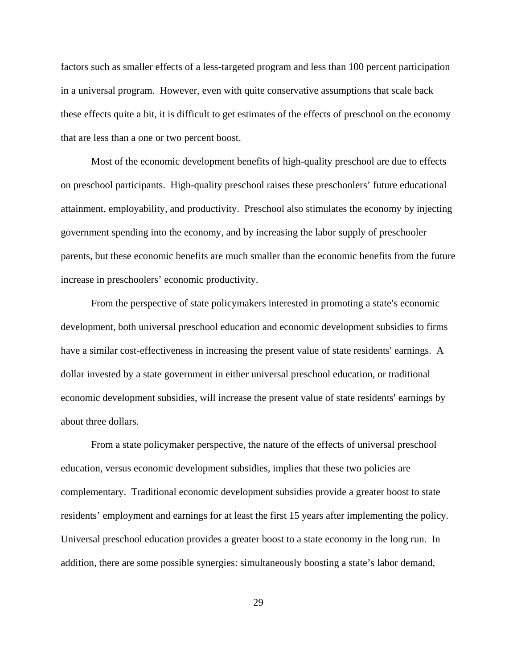factors such as smaller effects of a less-targeted program and less than 100 percent participation in a universal program. However, even with quite conservative assumptions that scale back these effects quite a bit, it is difficult to get estimates of the effects of preschool on the economy that are less than a one or two percent boost.

Most of the economic development benefits of high-quality preschool are due to effects on preschool participants. High-quality preschool raises these preschoolers' future educational attainment, employability, and productivity. Preschool also stimulates the economy by injecting government spending into the economy, and by increasing the labor supply of preschooler parents, but these economic benefits are much smaller than the economic benefits from the future increase in preschoolers' economic productivity.

From the perspective of state policymakers interested in promoting a state's economic development, both universal preschool education and economic development subsidies to firms have a similar cost-effectiveness in increasing the present value of state residents' earnings. A dollar invested by a state government in either universal preschool education, or traditional economic development subsidies, will increase the present value of state residents' earnings by about three dollars.

From a state policymaker perspective, the nature of the effects of universal preschool education, versus economic development subsidies, implies that these two policies are complementary. Traditional economic development subsidies provide a greater boost to state residents' employment and earnings for at least the first 15 years after implementing the policy. Universal preschool education provides a greater boost to a state economy in the long run. In addition, there are some possible synergies: simultaneously boosting a state's labor demand,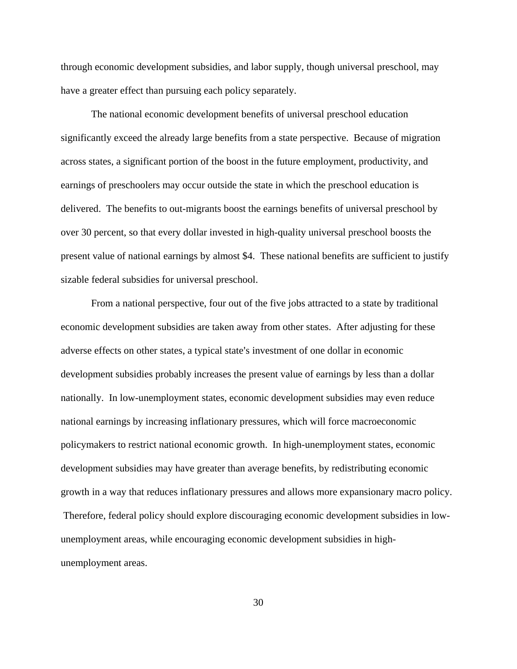through economic development subsidies, and labor supply, though universal preschool, may have a greater effect than pursuing each policy separately.

The national economic development benefits of universal preschool education significantly exceed the already large benefits from a state perspective. Because of migration across states, a significant portion of the boost in the future employment, productivity, and earnings of preschoolers may occur outside the state in which the preschool education is delivered. The benefits to out-migrants boost the earnings benefits of universal preschool by over 30 percent, so that every dollar invested in high-quality universal preschool boosts the present value of national earnings by almost \$4. These national benefits are sufficient to justify sizable federal subsidies for universal preschool.

From a national perspective, four out of the five jobs attracted to a state by traditional economic development subsidies are taken away from other states. After adjusting for these adverse effects on other states, a typical state's investment of one dollar in economic development subsidies probably increases the present value of earnings by less than a dollar nationally. In low-unemployment states, economic development subsidies may even reduce national earnings by increasing inflationary pressures, which will force macroeconomic policymakers to restrict national economic growth. In high-unemployment states, economic development subsidies may have greater than average benefits, by redistributing economic growth in a way that reduces inflationary pressures and allows more expansionary macro policy. Therefore, federal policy should explore discouraging economic development subsidies in lowunemployment areas, while encouraging economic development subsidies in highunemployment areas.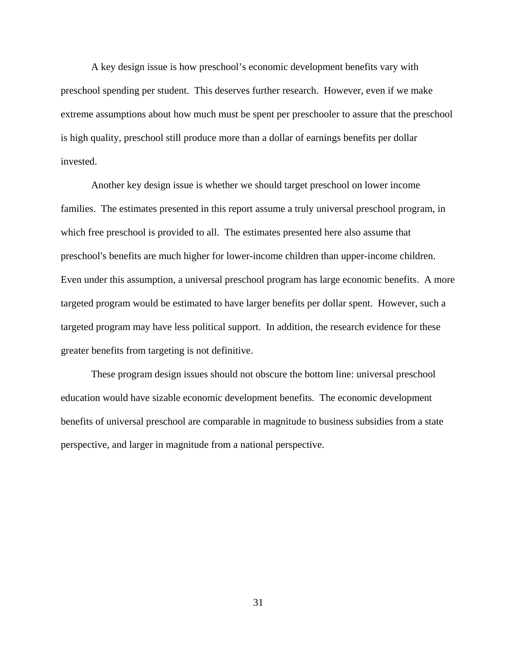A key design issue is how preschool's economic development benefits vary with preschool spending per student. This deserves further research. However, even if we make extreme assumptions about how much must be spent per preschooler to assure that the preschool is high quality, preschool still produce more than a dollar of earnings benefits per dollar invested.

Another key design issue is whether we should target preschool on lower income families. The estimates presented in this report assume a truly universal preschool program, in which free preschool is provided to all. The estimates presented here also assume that preschool's benefits are much higher for lower-income children than upper-income children. Even under this assumption, a universal preschool program has large economic benefits. A more targeted program would be estimated to have larger benefits per dollar spent. However, such a targeted program may have less political support. In addition, the research evidence for these greater benefits from targeting is not definitive.

These program design issues should not obscure the bottom line: universal preschool education would have sizable economic development benefits. The economic development benefits of universal preschool are comparable in magnitude to business subsidies from a state perspective, and larger in magnitude from a national perspective.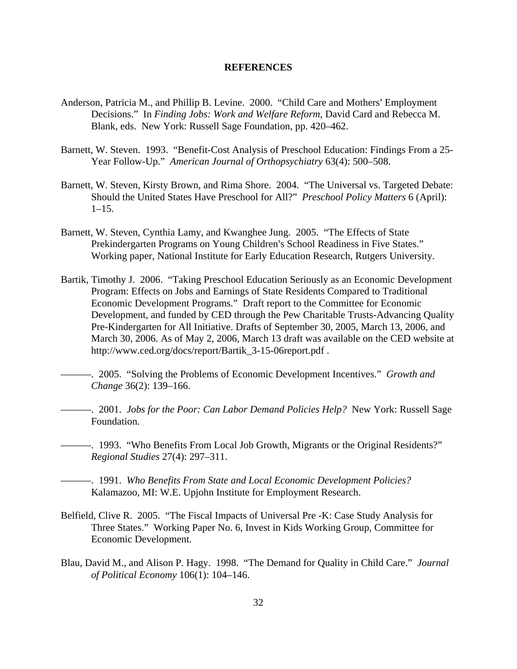#### **REFERENCES**

- Anderson, Patricia M., and Phillip B. Levine. 2000. "Child Care and Mothers' Employment Decisions." In *Finding Jobs: Work and Welfare Reform*, David Card and Rebecca M. Blank, eds. New York: Russell Sage Foundation, pp. 420–462.
- Barnett, W. Steven. 1993. "Benefit-Cost Analysis of Preschool Education: Findings From a 25- Year Follow-Up." *American Journal of Orthopsychiatry* 63(4): 500–508.
- Barnett, W. Steven, Kirsty Brown, and Rima Shore. 2004. "The Universal vs. Targeted Debate: Should the United States Have Preschool for All?" *Preschool Policy Matters* 6 (April):  $1-15.$
- Barnett, W. Steven, Cynthia Lamy, and Kwanghee Jung. 2005. "The Effects of State Prekindergarten Programs on Young Children's School Readiness in Five States." Working paper, National Institute for Early Education Research, Rutgers University.
- Bartik, Timothy J. 2006. "Taking Preschool Education Seriously as an Economic Development Program: Effects on Jobs and Earnings of State Residents Compared to Traditional Economic Development Programs." Draft report to the Committee for Economic Development, and funded by CED through the Pew Charitable Trusts-Advancing Quality Pre-Kindergarten for All Initiative. Drafts of September 30, 2005, March 13, 2006, and March 30, 2006. As of May 2, 2006, March 13 draft was available on the CED website at http://www.ced.org/docs/report/Bartik\_3-15-06report.pdf .
- ———. 2005. "Solving the Problems of Economic Development Incentives." *Growth and Change* 36(2): 139–166.
	- ———. 2001. *Jobs for the Poor: Can Labor Demand Policies Help?* New York: Russell Sage Foundation.
- ———. 1993. "Who Benefits From Local Job Growth, Migrants or the Original Residents?" *Regional Studies* 27(4): 297–311.
	- ———. 1991. *Who Benefits From State and Local Economic Development Policies?* Kalamazoo, MI: W.E. Upjohn Institute for Employment Research.
- Belfield, Clive R. 2005. "The Fiscal Impacts of Universal Pre -K: Case Study Analysis for Three States." Working Paper No. 6, Invest in Kids Working Group, Committee for Economic Development.
- Blau, David M., and Alison P. Hagy. 1998. "The Demand for Quality in Child Care." *Journal of Political Economy* 106(1): 104–146.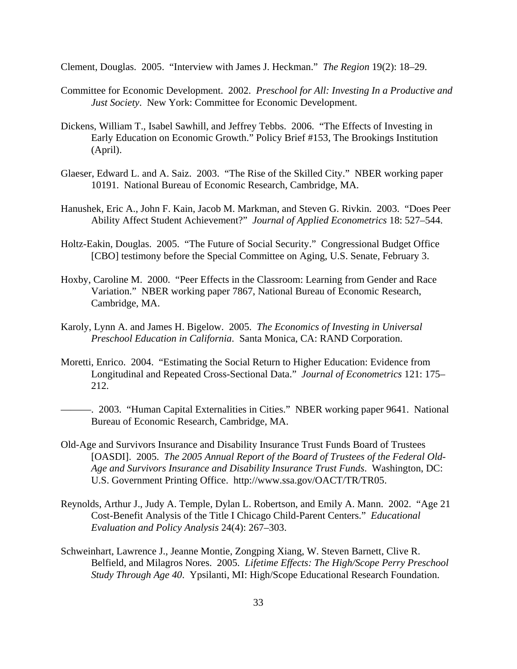Clement, Douglas. 2005. "Interview with James J. Heckman." *The Region* 19(2): 18–29.

- Committee for Economic Development. 2002. *Preschool for All: Investing In a Productive and Just Society*. New York: Committee for Economic Development.
- Dickens, William T., Isabel Sawhill, and Jeffrey Tebbs. 2006. "The Effects of Investing in Early Education on Economic Growth." Policy Brief #153, The Brookings Institution (April).
- Glaeser, Edward L. and A. Saiz. 2003. "The Rise of the Skilled City." NBER working paper 10191. National Bureau of Economic Research, Cambridge, MA.
- Hanushek, Eric A., John F. Kain, Jacob M. Markman, and Steven G. Rivkin. 2003. "Does Peer Ability Affect Student Achievement?" *Journal of Applied Econometrics* 18: 527–544.
- Holtz-Eakin, Douglas. 2005. "The Future of Social Security." Congressional Budget Office [CBO] testimony before the Special Committee on Aging, U.S. Senate, February 3.
- Hoxby, Caroline M. 2000. "Peer Effects in the Classroom: Learning from Gender and Race Variation." NBER working paper 7867, National Bureau of Economic Research, Cambridge, MA.
- Karoly, Lynn A. and James H. Bigelow. 2005. *The Economics of Investing in Universal Preschool Education in California*. Santa Monica, CA: RAND Corporation.
- Moretti, Enrico. 2004. "Estimating the Social Return to Higher Education: Evidence from Longitudinal and Repeated Cross-Sectional Data." *Journal of Econometrics* 121: 175– 212.
- ———. 2003. "Human Capital Externalities in Cities." NBER working paper 9641. National Bureau of Economic Research, Cambridge, MA.
- Old-Age and Survivors Insurance and Disability Insurance Trust Funds Board of Trustees [OASDI]. 2005. The 2005 Annual Report of the Board of Trustees of the Federal Old-*Age and Survivors Insurance and Disability Insurance Trust Funds*. Washington, DC: U.S. Government Printing Office. http://www.ssa.gov/OACT/TR/TR05.
- Reynolds, Arthur J., Judy A. Temple, Dylan L. Robertson, and Emily A. Mann. 2002. "Age 21 Cost-Benefit Analysis of the Title I Chicago Child-Parent Centers." *Educational Evaluation and Policy Analysis* 24(4): 267–303.
- Schweinhart, Lawrence J., Jeanne Montie, Zongping Xiang, W. Steven Barnett, Clive R. Belfield, and Milagros Nores. 2005. *Lifetime Effects: The High/Scope Perry Preschool Study Through Age 40*. Ypsilanti, MI: High/Scope Educational Research Foundation.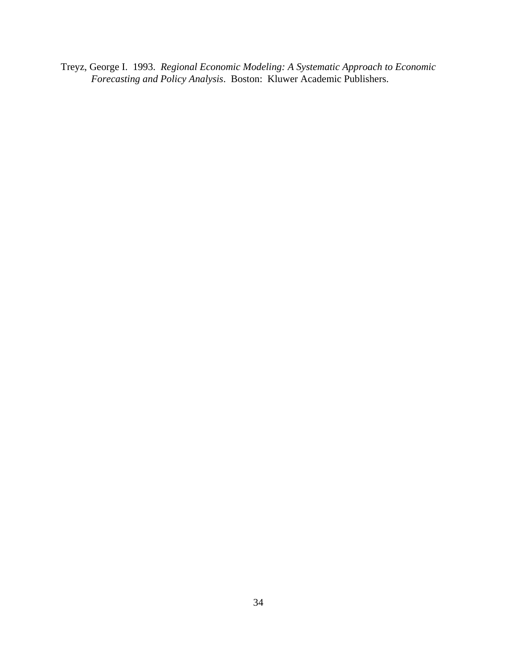Treyz, George I. 1993. *Regional Economic Modeling: A Systematic Approach to Economic Forecasting and Policy Analysis*. Boston: Kluwer Academic Publishers.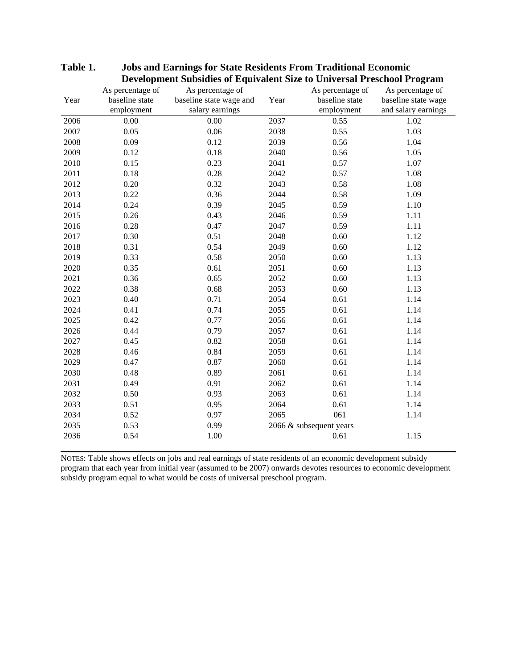|      | As percentage of | As percentage of        |      | As percentage of        | As percentage of    |
|------|------------------|-------------------------|------|-------------------------|---------------------|
| Year | baseline state   | baseline state wage and | Year | baseline state          | baseline state wage |
|      | employment       | salary earnings         |      | employment              | and salary earnings |
| 2006 | 0.00             | 0.00                    | 2037 | 0.55                    | 1.02                |
| 2007 | 0.05             | 0.06                    | 2038 | 0.55                    | 1.03                |
| 2008 | 0.09             | 0.12                    | 2039 | 0.56                    | 1.04                |
| 2009 | 0.12             | 0.18                    | 2040 | 0.56                    | 1.05                |
| 2010 | 0.15             | 0.23                    | 2041 | 0.57                    | 1.07                |
| 2011 | 0.18             | 0.28                    | 2042 | 0.57                    | 1.08                |
| 2012 | 0.20             | 0.32                    | 2043 | 0.58                    | 1.08                |
| 2013 | 0.22             | 0.36                    | 2044 | 0.58                    | 1.09                |
| 2014 | 0.24             | 0.39                    | 2045 | 0.59                    | 1.10                |
| 2015 | 0.26             | 0.43                    | 2046 | 0.59                    | 1.11                |
| 2016 | 0.28             | 0.47                    | 2047 | 0.59                    | 1.11                |
| 2017 | 0.30             | 0.51                    | 2048 | 0.60                    | 1.12                |
| 2018 | 0.31             | 0.54                    | 2049 | 0.60                    | 1.12                |
| 2019 | 0.33             | 0.58                    | 2050 | 0.60                    | 1.13                |
| 2020 | 0.35             | 0.61                    | 2051 | 0.60                    | 1.13                |
| 2021 | 0.36             | 0.65                    | 2052 | 0.60                    | 1.13                |
| 2022 | 0.38             | 0.68                    | 2053 | 0.60                    | 1.13                |
| 2023 | 0.40             | 0.71                    | 2054 | 0.61                    | 1.14                |
| 2024 | 0.41             | 0.74                    | 2055 | 0.61                    | 1.14                |
| 2025 | 0.42             | 0.77                    | 2056 | 0.61                    | 1.14                |
| 2026 | 0.44             | 0.79                    | 2057 | 0.61                    | 1.14                |
| 2027 | 0.45             | 0.82                    | 2058 | 0.61                    | 1.14                |
| 2028 | 0.46             | 0.84                    | 2059 | 0.61                    | 1.14                |
| 2029 | 0.47             | 0.87                    | 2060 | 0.61                    | 1.14                |
| 2030 | 0.48             | 0.89                    | 2061 | 0.61                    | 1.14                |
| 2031 | 0.49             | 0.91                    | 2062 | 0.61                    | 1.14                |
| 2032 | 0.50             | 0.93                    | 2063 | 0.61                    | 1.14                |
| 2033 | 0.51             | 0.95                    | 2064 | 0.61                    | 1.14                |
| 2034 | 0.52             | 0.97                    | 2065 | 061                     | 1.14                |
| 2035 | 0.53             | 0.99                    |      | 2066 & subsequent years |                     |
| 2036 | 0.54             | 1.00                    |      | 0.61                    | 1.15                |

#### **Table 1. Jobs and Earnings for State Residents From Traditional Economic Development Subsidies of Equivalent Size to Universal Preschool Program**

NOTES: Table shows effects on jobs and real earnings of state residents of an economic development subsidy program that each year from initial year (assumed to be 2007) onwards devotes resources to economic development subsidy program equal to what would be costs of universal preschool program.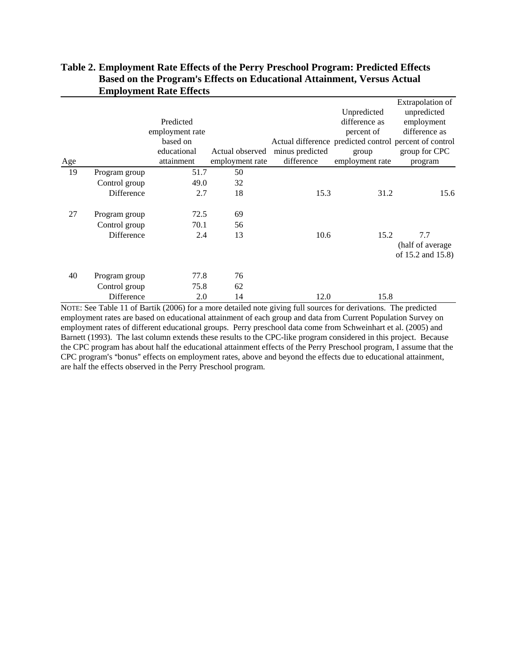| Age |               | Predicted<br>employment rate<br>based on<br>educational<br>attainment | Actual observed<br>employment rate | minus predicted<br>difference | Unpredicted<br>difference as<br>percent of<br>group<br>employment rate | Extrapolation of<br>unpredicted<br>employment<br>difference as<br>Actual difference predicted control percent of control<br>group for CPC<br>program |
|-----|---------------|-----------------------------------------------------------------------|------------------------------------|-------------------------------|------------------------------------------------------------------------|------------------------------------------------------------------------------------------------------------------------------------------------------|
| 19  | Program group | 51.7                                                                  | 50                                 |                               |                                                                        |                                                                                                                                                      |
|     | Control group | 49.0                                                                  | 32                                 |                               |                                                                        |                                                                                                                                                      |
|     | Difference    | 2.7                                                                   | 18                                 | 15.3                          | 31.2                                                                   | 15.6                                                                                                                                                 |
| 27  | Program group | 72.5                                                                  | 69                                 |                               |                                                                        |                                                                                                                                                      |
|     | Control group | 70.1                                                                  | 56                                 |                               |                                                                        |                                                                                                                                                      |
|     | Difference    | 2.4                                                                   | 13                                 | 10.6                          | 15.2                                                                   | 7.7<br>(half of average)<br>of 15.2 and 15.8)                                                                                                        |
| 40  | Program group | 77.8                                                                  | 76                                 |                               |                                                                        |                                                                                                                                                      |
|     | Control group | 75.8                                                                  | 62                                 |                               |                                                                        |                                                                                                                                                      |
|     | Difference    | 2.0                                                                   | 14                                 | 12.0                          | 15.8                                                                   |                                                                                                                                                      |

### **Table 2. Employment Rate Effects of the Perry Preschool Program: Predicted Effects**  Based on the Program's Effects on Educational Attainment, Versus Actual **Employment Rate Effects**

NOTE: See Table 11 of Bartik (2006) for a more detailed note giving full sources for derivations. The predicted employment rates are based on educational attainment of each group and data from Current Population Survey on employment rates of different educational groups. Perry preschool data come from Schweinhart et al. (2005) and Barnett (1993). The last column extends these results to the CPC-like program considered in this project. Because the CPC program has about half the educational attainment effects of the Perry Preschool program, I assume that the CPC program's "bonus" effects on employment rates, above and beyond the effects due to educational attainment, are half the effects observed in the Perry Preschool program.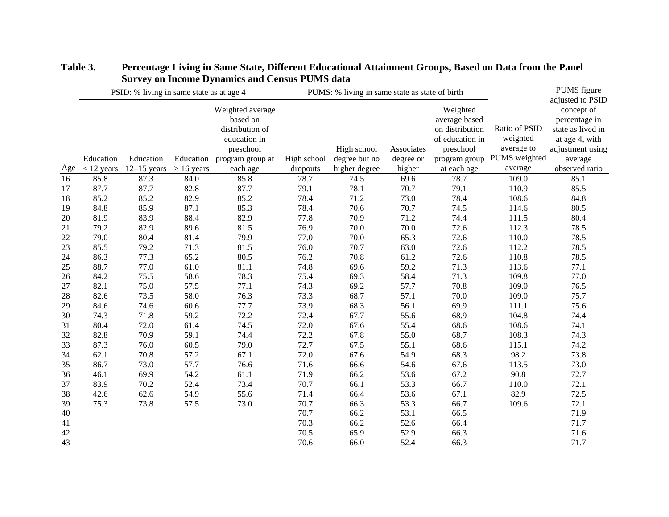|     | раг теу он нисопис в упаниез ана сеньаз г стяр аата<br>PSID: % living in same state as at age 4 |               |              |                                                                                                  | PUMS: % living in same state as state of birth |                              |                         |                                                                              | PUMS figure                                                            |                                                                                                                       |
|-----|-------------------------------------------------------------------------------------------------|---------------|--------------|--------------------------------------------------------------------------------------------------|------------------------------------------------|------------------------------|-------------------------|------------------------------------------------------------------------------|------------------------------------------------------------------------|-----------------------------------------------------------------------------------------------------------------------|
|     | Education                                                                                       | Education     | Education    | Weighted average<br>based on<br>distribution of<br>education in<br>preschool<br>program group at | High school                                    | High school<br>degree but no | Associates<br>degree or | Weighted<br>average based<br>on distribution<br>of education in<br>preschool | Ratio of PSID<br>weighted<br>average to<br>program group PUMS weighted | adjusted to PSID<br>concept of<br>percentage in<br>state as lived in<br>at age 4, with<br>adjustment using<br>average |
| Age | $<$ 12 years                                                                                    | $12-15$ years | $> 16$ years | each age                                                                                         | dropouts                                       | higher degree                | higher                  | at each age                                                                  | average                                                                | observed ratio                                                                                                        |
| 16  | 85.8                                                                                            | 87.3          | 84.0         | 85.8                                                                                             | 78.7                                           | 74.5                         | 69.6                    | 78.7                                                                         | 109.0                                                                  | 85.1                                                                                                                  |
| 17  | 87.7                                                                                            | 87.7          | 82.8         | 87.7                                                                                             | 79.1                                           | 78.1                         | 70.7                    | 79.1                                                                         | 110.9                                                                  | 85.5                                                                                                                  |
| 18  | 85.2                                                                                            | 85.2          | 82.9         | 85.2                                                                                             | 78.4                                           | 71.2                         | 73.0                    | 78.4                                                                         | 108.6                                                                  | 84.8                                                                                                                  |
| 19  | 84.8                                                                                            | 85.9          | 87.1         | 85.3                                                                                             | 78.4                                           | 70.6                         | 70.7                    | 74.5                                                                         | 114.6                                                                  | 80.5                                                                                                                  |
| 20  | 81.9                                                                                            | 83.9          | 88.4         | 82.9                                                                                             | 77.8                                           | 70.9                         | 71.2                    | 74.4                                                                         | 111.5                                                                  | 80.4                                                                                                                  |
| 21  | 79.2                                                                                            | 82.9          | 89.6         | 81.5                                                                                             | 76.9                                           | 70.0                         | $70.0\,$                | 72.6                                                                         | 112.3                                                                  | 78.5                                                                                                                  |
| 22  | 79.0                                                                                            | 80.4          | 81.4         | 79.9                                                                                             | 77.0                                           | 70.0                         | 65.3                    | 72.6                                                                         | 110.0                                                                  | 78.5                                                                                                                  |
| 23  | 85.5                                                                                            | 79.2          | 71.3         | 81.5                                                                                             | 76.0                                           | 70.7                         | 63.0                    | 72.6                                                                         | 112.2                                                                  | 78.5                                                                                                                  |
| 24  | 86.3                                                                                            | 77.3          | 65.2         | 80.5                                                                                             | 76.2                                           | 70.8                         | 61.2                    | 72.6                                                                         | 110.8                                                                  | 78.5                                                                                                                  |
| 25  | 88.7                                                                                            | 77.0          | 61.0         | 81.1                                                                                             | 74.8                                           | 69.6                         | 59.2                    | 71.3                                                                         | 113.6                                                                  | 77.1                                                                                                                  |
| 26  | 84.2                                                                                            | 75.5          | 58.6         | 78.3                                                                                             | 75.4                                           | 69.3                         | 58.4                    | 71.3                                                                         | 109.8                                                                  | 77.0                                                                                                                  |
| 27  | 82.1                                                                                            | 75.0          | 57.5         | 77.1                                                                                             | 74.3                                           | 69.2                         | 57.7                    | 70.8                                                                         | 109.0                                                                  | 76.5                                                                                                                  |
| 28  | 82.6                                                                                            | 73.5          | 58.0         | 76.3                                                                                             | 73.3                                           | 68.7                         | 57.1                    | 70.0                                                                         | 109.0                                                                  | 75.7                                                                                                                  |
| 29  | 84.6                                                                                            | 74.6          | 60.6         | 77.7                                                                                             | 73.9                                           | 68.3                         | 56.1                    | 69.9                                                                         | 111.1                                                                  | 75.6                                                                                                                  |
| 30  | 74.3                                                                                            | 71.8          | 59.2         | 72.2                                                                                             | 72.4                                           | 67.7                         | 55.6                    | 68.9                                                                         | 104.8                                                                  | 74.4                                                                                                                  |
| 31  | 80.4                                                                                            | 72.0          | 61.4         | 74.5                                                                                             | 72.0                                           | 67.6                         | 55.4                    | 68.6                                                                         | 108.6                                                                  | 74.1                                                                                                                  |
| 32  | 82.8                                                                                            | 70.9          | 59.1         | 74.4                                                                                             | 72.2                                           | 67.8                         | 55.0                    | 68.7                                                                         | 108.3                                                                  | 74.3                                                                                                                  |
| 33  | 87.3                                                                                            | 76.0          | 60.5         | 79.0                                                                                             | 72.7                                           | 67.5                         | 55.1                    | 68.6                                                                         | 115.1                                                                  | 74.2                                                                                                                  |
| 34  | 62.1                                                                                            | 70.8          | 57.2         | 67.1                                                                                             | 72.0                                           | 67.6                         | 54.9                    | 68.3                                                                         | 98.2                                                                   | 73.8                                                                                                                  |
| 35  | 86.7                                                                                            | 73.0          | 57.7         | 76.6                                                                                             | 71.6                                           | 66.6                         | 54.6                    | 67.6                                                                         | 113.5                                                                  | 73.0                                                                                                                  |
| 36  | 46.1                                                                                            | 69.9          | 54.2         | 61.1                                                                                             | 71.9                                           | 66.2                         | 53.6                    | 67.2                                                                         | 90.8                                                                   | 72.7                                                                                                                  |
| 37  | 83.9                                                                                            | 70.2          | 52.4         | 73.4                                                                                             | 70.7                                           | 66.1                         | 53.3                    | 66.7                                                                         | 110.0                                                                  | 72.1                                                                                                                  |
| 38  | 42.6                                                                                            | 62.6          | 54.9         | 55.6                                                                                             | 71.4                                           | 66.4                         | 53.6                    | 67.1                                                                         | 82.9                                                                   | 72.5                                                                                                                  |
| 39  | 75.3                                                                                            | 73.8          | 57.5         | 73.0                                                                                             | 70.7                                           | 66.3                         | 53.3                    | 66.7                                                                         | 109.6                                                                  | 72.1                                                                                                                  |
| 40  |                                                                                                 |               |              |                                                                                                  | 70.7                                           | 66.2                         | 53.1                    | 66.5                                                                         |                                                                        | 71.9                                                                                                                  |
| 41  |                                                                                                 |               |              |                                                                                                  | 70.3                                           | 66.2                         | 52.6                    | 66.4                                                                         |                                                                        | 71.7                                                                                                                  |
| 42  |                                                                                                 |               |              |                                                                                                  | 70.5                                           | 65.9                         | 52.9                    | 66.3                                                                         |                                                                        | 71.6                                                                                                                  |
| 43  |                                                                                                 |               |              |                                                                                                  | 70.6                                           | 66.0                         | 52.4                    | 66.3                                                                         |                                                                        | 71.7                                                                                                                  |

# **Table 3. Percentage Living in Same State, Different Educational Attainment Groups, Based on Data from the Panel Survey on Income Dynamics and Census PUMS data**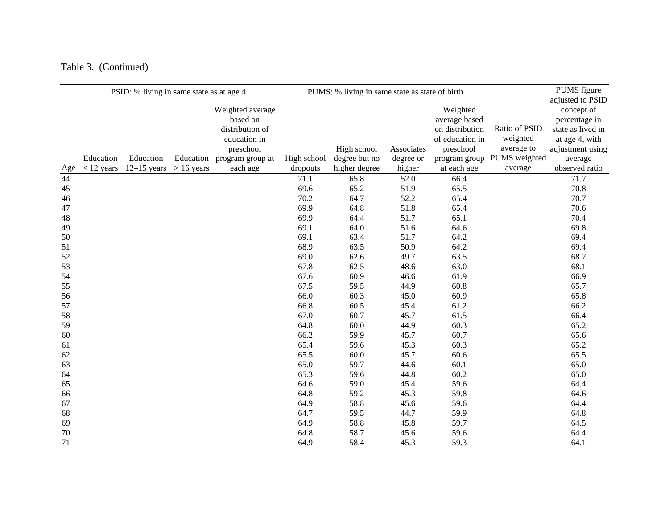# Table 3. (Continued)

|     |              | PSID: % living in same state as at age 4 |              |                  |             | PUMS: % living in same state as state of birth |            |                 |               | PUMS figure<br>adjusted to PSID |
|-----|--------------|------------------------------------------|--------------|------------------|-------------|------------------------------------------------|------------|-----------------|---------------|---------------------------------|
|     |              |                                          |              | Weighted average |             |                                                |            | Weighted        |               | concept of                      |
|     |              |                                          |              | based on         |             |                                                |            | average based   |               | percentage in                   |
|     |              |                                          |              | distribution of  |             |                                                |            | on distribution | Ratio of PSID | state as lived in               |
|     |              |                                          |              | education in     |             |                                                |            | of education in | weighted      | at age 4, with                  |
|     |              |                                          |              | preschool        |             | High school                                    | Associates | preschool       | average to    | adjustment using                |
|     | Education    | Education                                | Education    | program group at | High school | degree but no                                  | degree or  | program group   | PUMS weighted | average                         |
| Age | $<$ 12 years | $12-15$ years                            | $> 16$ years | each age         | dropouts    | higher degree                                  | higher     | at each age     | average       | observed ratio                  |
| 44  |              |                                          |              |                  | 71.1        | 65.8                                           | 52.0       | 66.4            |               | 71.7                            |
| 45  |              |                                          |              |                  | 69.6        | 65.2                                           | 51.9       | 65.5            |               | 70.8                            |
| 46  |              |                                          |              |                  | 70.2        | 64.7                                           | 52.2       | 65.4            |               | 70.7                            |
| 47  |              |                                          |              |                  | 69.9        | 64.8                                           | 51.8       | 65.4            |               | 70.6                            |
| 48  |              |                                          |              |                  | 69.9        | 64.4                                           | 51.7       | 65.1            |               | 70.4                            |
| 49  |              |                                          |              |                  | 69.1        | 64.0                                           | 51.6       | 64.6            |               | 69.8                            |
| 50  |              |                                          |              |                  | 69.1        | 63.4                                           | 51.7       | 64.2            |               | 69.4                            |
| 51  |              |                                          |              |                  | 68.9        | 63.5                                           | 50.9       | 64.2            |               | 69.4                            |
| 52  |              |                                          |              |                  | 69.0        | 62.6                                           | 49.7       | 63.5            |               | 68.7                            |
| 53  |              |                                          |              |                  | 67.8        | 62.5                                           | 48.6       | 63.0            |               | 68.1                            |
| 54  |              |                                          |              |                  | 67.6        | 60.9                                           | 46.6       | 61.9            |               | 66.9                            |
| 55  |              |                                          |              |                  | 67.5        | 59.5                                           | 44.9       | 60.8            |               | 65.7                            |
| 56  |              |                                          |              |                  | 66.0        | 60.3                                           | 45.0       | 60.9            |               | 65.8                            |
| 57  |              |                                          |              |                  | 66.8        | 60.5                                           | 45.4       | 61.2            |               | 66.2                            |
| 58  |              |                                          |              |                  | 67.0        | 60.7                                           | 45.7       | 61.5            |               | 66.4                            |
| 59  |              |                                          |              |                  | 64.8        | 60.0                                           | 44.9       | 60.3            |               | 65.2                            |
| 60  |              |                                          |              |                  | 66.2        | 59.9                                           | 45.7       | 60.7            |               | 65.6                            |
| 61  |              |                                          |              |                  | 65.4        | 59.6                                           | 45.3       | 60.3            |               | 65.2                            |
| 62  |              |                                          |              |                  | 65.5        | 60.0                                           | 45.7       | 60.6            |               | 65.5                            |
| 63  |              |                                          |              |                  | 65.0        | 59.7                                           | 44.6       | 60.1            |               | 65.0                            |
| 64  |              |                                          |              |                  | 65.3        | 59.6                                           | 44.8       | 60.2            |               | 65.0                            |
| 65  |              |                                          |              |                  | 64.6        | 59.0                                           | 45.4       | 59.6            |               | 64.4                            |
| 66  |              |                                          |              |                  | 64.8        | 59.2                                           | 45.3       | 59.8            |               | 64.6                            |
| 67  |              |                                          |              |                  | 64.9        | 58.8                                           | 45.6       | 59.6            |               | 64.4                            |
| 68  |              |                                          |              |                  | 64.7        | 59.5                                           | 44.7       | 59.9            |               | 64.8                            |
| 69  |              |                                          |              |                  | 64.9        | 58.8                                           | 45.8       | 59.7            |               | 64.5                            |
| 70  |              |                                          |              |                  | 64.8        | 58.7                                           | 45.6       | 59.6            |               | 64.4                            |
| 71  |              |                                          |              |                  | 64.9        | 58.4                                           | 45.3       | 59.3            |               | 64.1                            |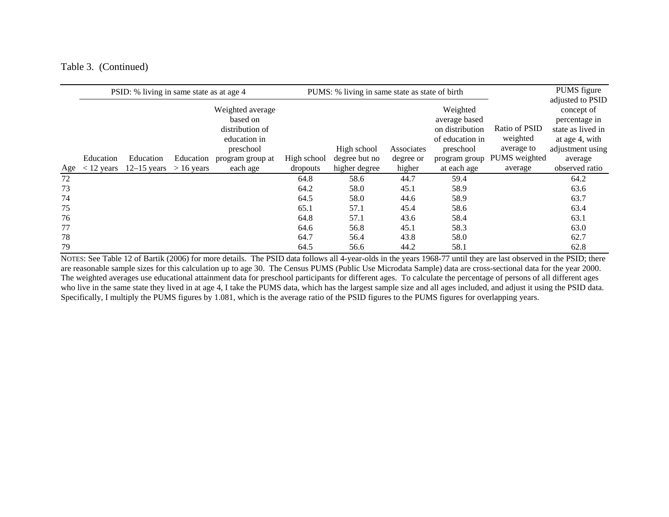#### Table 3. (Continued)

|     | PSID: % living in same state as at age 4 |               |              |                                                                              | PUMS: % living in same state as state of birth |               |            |                                                                              | PUMS figure                             |                                                                                                            |
|-----|------------------------------------------|---------------|--------------|------------------------------------------------------------------------------|------------------------------------------------|---------------|------------|------------------------------------------------------------------------------|-----------------------------------------|------------------------------------------------------------------------------------------------------------|
|     |                                          |               |              | Weighted average<br>based on<br>distribution of<br>education in<br>preschool |                                                | High school   | Associates | Weighted<br>average based<br>on distribution<br>of education in<br>preschool | Ratio of PSID<br>weighted<br>average to | adjusted to PSID<br>concept of<br>percentage in<br>state as lived in<br>at age 4, with<br>adjustment using |
|     | Education                                | Education     | Education    | program group at                                                             | High school                                    | degree but no | degree or  | program group                                                                | PUMS weighted                           | average                                                                                                    |
| Age | $<$ 12 years                             | $12-15$ years | $> 16$ years | each age                                                                     | dropouts                                       | higher degree | higher     | at each age                                                                  | average                                 | observed ratio                                                                                             |
| 72  |                                          |               |              |                                                                              | 64.8                                           | 58.6          | 44.7       | 59.4                                                                         |                                         | 64.2                                                                                                       |
| 73  |                                          |               |              |                                                                              | 64.2                                           | 58.0          | 45.1       | 58.9                                                                         |                                         | 63.6                                                                                                       |
| 74  |                                          |               |              |                                                                              | 64.5                                           | 58.0          | 44.6       | 58.9                                                                         |                                         | 63.7                                                                                                       |
| 75  |                                          |               |              |                                                                              | 65.1                                           | 57.1          | 45.4       | 58.6                                                                         |                                         | 63.4                                                                                                       |
| 76  |                                          |               |              |                                                                              | 64.8                                           | 57.1          | 43.6       | 58.4                                                                         |                                         | 63.1                                                                                                       |
| 77  |                                          |               |              |                                                                              | 64.6                                           | 56.8          | 45.1       | 58.3                                                                         |                                         | 63.0                                                                                                       |
| 78  |                                          |               |              |                                                                              | 64.7                                           | 56.4          | 43.8       | 58.0                                                                         |                                         | 62.7                                                                                                       |
| 79  |                                          |               |              |                                                                              | 64.5                                           | 56.6          | 44.2       | 58.1                                                                         |                                         | 62.8                                                                                                       |

NOTES: See Table 12 of Bartik (2006) for more details. The PSID data follows all 4-year-olds in the years 1968-77 until they are last observed in the PSID; there are reasonable sample sizes for this calculation up to age 30. The Census PUMS (Public Use Microdata Sample) data are cross-sectional data for the year 2000. The weighted averages use educational attainment data for preschool participants for different ages. To calculate the percentage of persons of all different ages who live in the same state they lived in at age 4, I take the PUMS data, which has the largest sample size and all ages included, and adjust it using the PSID data. Specifically, I multiply the PUMS figures by 1.081, which is the average ratio of the PSID figures to the PUMS figures for overlapping years.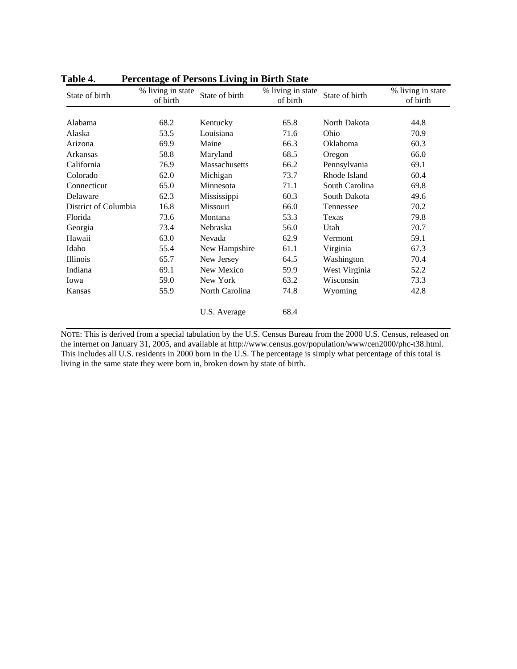| State of birth       | % living in state<br>of birth | State of birth | % living in state<br>of birth | State of birth  | % living in state<br>of birth |
|----------------------|-------------------------------|----------------|-------------------------------|-----------------|-------------------------------|
|                      |                               |                |                               |                 |                               |
| Alabama              | 68.2                          | Kentucky       | 65.8                          | North Dakota    | 44.8                          |
| Alaska               | 53.5                          | Louisiana      | 71.6                          | Ohio            | 70.9                          |
| Arizona              | 69.9                          | Maine          | 66.3                          | <b>Oklahoma</b> | 60.3                          |
| Arkansas             | 58.8                          | Maryland       | 68.5                          | Oregon          | 66.0                          |
| California           | 76.9                          | Massachusetts  | 66.2                          | Pennsylvania    | 69.1                          |
| Colorado             | 62.0                          | Michigan       | 73.7                          | Rhode Island    | 60.4                          |
| Connecticut          | 65.0                          | Minnesota      | 71.1                          | South Carolina  | 69.8                          |
| Delaware             | 62.3                          | Mississippi    | 60.3                          | South Dakota    | 49.6                          |
| District of Columbia | 16.8                          | Missouri       | 66.0                          | Tennessee       | 70.2                          |
| Florida              | 73.6                          | Montana        | 53.3                          | Texas           | 79.8                          |
| Georgia              | 73.4                          | Nebraska       | 56.0                          | Utah            | 70.7                          |
| Hawaii               | 63.0                          | Nevada         | 62.9                          | Vermont         | 59.1                          |
| Idaho                | 55.4                          | New Hampshire  | 61.1                          | Virginia        | 67.3                          |
| <b>Illinois</b>      | 65.7                          | New Jersey     | 64.5                          | Washington      | 70.4                          |
| Indiana              | 69.1                          | New Mexico     | 59.9                          | West Virginia   | 52.2                          |
| Iowa                 | 59.0                          | New York       | 63.2                          | Wisconsin       | 73.3                          |
| Kansas               | 55.9                          | North Carolina | 74.8                          | Wyoming         | 42.8                          |
|                      |                               | U.S. Average   | 68.4                          |                 |                               |

**Table 4. Percentage of Persons Living in Birth State**

NOTE: This is derived from a special tabulation by the U.S. Census Bureau from the 2000 U.S. Census, released on the internet on January 31, 2005, and available at http://www.census.gov/population/www/cen2000/phc-t38.html. This includes all U.S. residents in 2000 born in the U.S. The percentage is simply what percentage of this total is living in the same state they were born in, broken down by state of birth.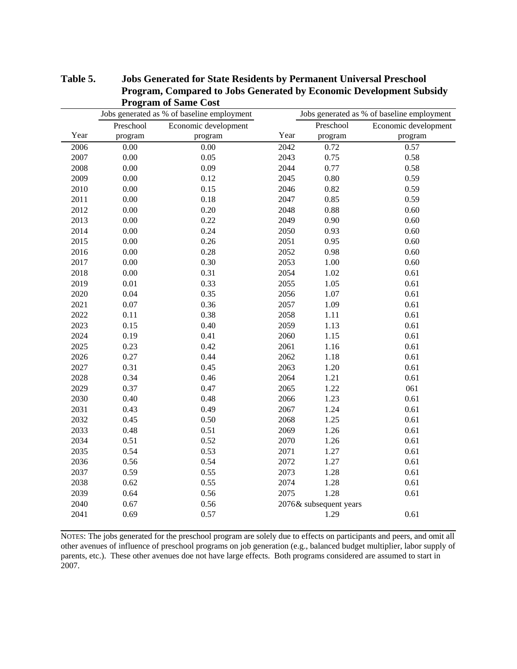|      | $-9.7$    | Jobs generated as % of baseline employment |      |                        | Jobs generated as % of baseline employment |
|------|-----------|--------------------------------------------|------|------------------------|--------------------------------------------|
|      | Preschool | Economic development                       |      | Preschool              | Economic development                       |
| Year | program   | program                                    | Year | program                | program                                    |
| 2006 | 0.00      | 0.00                                       | 2042 | 0.72                   | 0.57                                       |
| 2007 | $0.00\,$  | 0.05                                       | 2043 | 0.75                   | 0.58                                       |
| 2008 | $0.00\,$  | 0.09                                       | 2044 | 0.77                   | 0.58                                       |
| 2009 | 0.00      | 0.12                                       | 2045 | $0.80\,$               | 0.59                                       |
| 2010 | $0.00\,$  | 0.15                                       | 2046 | 0.82                   | 0.59                                       |
| 2011 | 0.00      | 0.18                                       | 2047 | 0.85                   | 0.59                                       |
| 2012 | 0.00      | 0.20                                       | 2048 | 0.88                   | 0.60                                       |
| 2013 | 0.00      | 0.22                                       | 2049 | 0.90                   | 0.60                                       |
| 2014 | 0.00      | 0.24                                       | 2050 | 0.93                   | 0.60                                       |
| 2015 | 0.00      | 0.26                                       | 2051 | 0.95                   | 0.60                                       |
| 2016 | 0.00      | 0.28                                       | 2052 | 0.98                   | 0.60                                       |
| 2017 | 0.00      | 0.30                                       | 2053 | $1.00\,$               | 0.60                                       |
| 2018 | $0.00\,$  | 0.31                                       | 2054 | 1.02                   | 0.61                                       |
| 2019 | 0.01      | 0.33                                       | 2055 | 1.05                   | 0.61                                       |
| 2020 | 0.04      | 0.35                                       | 2056 | 1.07                   | 0.61                                       |
| 2021 | 0.07      | 0.36                                       | 2057 | 1.09                   | 0.61                                       |
| 2022 | 0.11      | 0.38                                       | 2058 | 1.11                   | 0.61                                       |
| 2023 | 0.15      | 0.40                                       | 2059 | 1.13                   | 0.61                                       |
| 2024 | 0.19      | 0.41                                       | 2060 | 1.15                   | 0.61                                       |
| 2025 | 0.23      | 0.42                                       | 2061 | 1.16                   | $0.61\,$                                   |
| 2026 | 0.27      | 0.44                                       | 2062 | 1.18                   | 0.61                                       |
| 2027 | 0.31      | 0.45                                       | 2063 | 1.20                   | 0.61                                       |
| 2028 | 0.34      | 0.46                                       | 2064 | 1.21                   | 0.61                                       |
| 2029 | 0.37      | 0.47                                       | 2065 | 1.22                   | 061                                        |
| 2030 | 0.40      | 0.48                                       | 2066 | 1.23                   | 0.61                                       |
| 2031 | 0.43      | 0.49                                       | 2067 | 1.24                   | 0.61                                       |
| 2032 | 0.45      | 0.50                                       | 2068 | 1.25                   | 0.61                                       |
| 2033 | 0.48      | 0.51                                       | 2069 | 1.26                   | 0.61                                       |
| 2034 | 0.51      | 0.52                                       | 2070 | 1.26                   | 0.61                                       |
| 2035 | 0.54      | 0.53                                       | 2071 | 1.27                   | 0.61                                       |
| 2036 | 0.56      | 0.54                                       | 2072 | 1.27                   | 0.61                                       |
| 2037 | 0.59      | 0.55                                       | 2073 | 1.28                   | 0.61                                       |
| 2038 | 0.62      | 0.55                                       | 2074 | 1.28                   | 0.61                                       |
| 2039 | 0.64      | 0.56                                       | 2075 | 1.28                   | 0.61                                       |
| 2040 | 0.67      | 0.56                                       |      | 2076& subsequent years |                                            |
| 2041 | 0.69      | 0.57                                       |      | 1.29                   | 0.61                                       |
|      |           |                                            |      |                        |                                            |

**Table 5. Jobs Generated for State Residents by Permanent Universal Preschool Program, Compared to Jobs Generated by Economic Development Subsidy Program of Same Cost**

NOTES: The jobs generated for the preschool program are solely due to effects on participants and peers, and omit all other avenues of influence of preschool programs on job generation (e.g., balanced budget multiplier, labor supply of parents, etc.). These other avenues doe not have large effects. Both programs considered are assumed to start in 2007.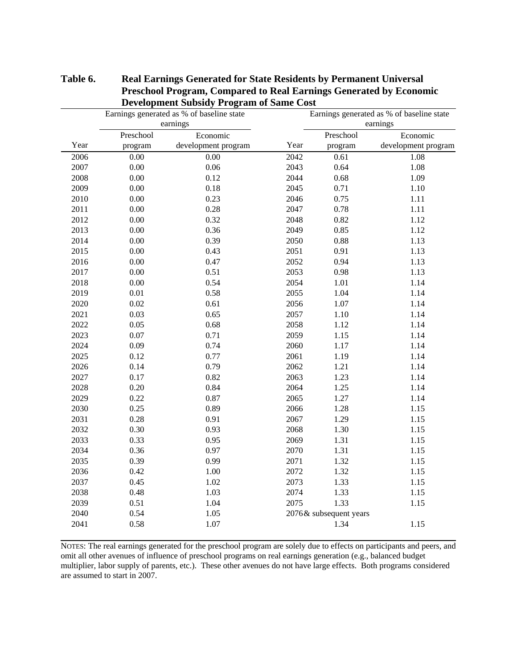|      |           | Earnings generated as % of baseline state |      |                        | Earnings generated as % of baseline state |  |
|------|-----------|-------------------------------------------|------|------------------------|-------------------------------------------|--|
|      |           | earnings                                  |      | earnings               |                                           |  |
|      | Preschool | Economic                                  |      | Preschool              | Economic                                  |  |
| Year | program   | development program                       | Year | program                | development program                       |  |
| 2006 | $0.00\,$  | $0.00\,$                                  | 2042 | 0.61                   | 1.08                                      |  |
| 2007 | $0.00\,$  | $0.06\,$                                  | 2043 | 0.64                   | 1.08                                      |  |
| 2008 | $0.00\,$  | 0.12                                      | 2044 | 0.68                   | 1.09                                      |  |
| 2009 | $0.00\,$  | 0.18                                      | 2045 | 0.71                   | 1.10                                      |  |
| 2010 | 0.00      | 0.23                                      | 2046 | 0.75                   | 1.11                                      |  |
| 2011 | 0.00      | 0.28                                      | 2047 | 0.78                   | 1.11                                      |  |
| 2012 | $0.00\,$  | 0.32                                      | 2048 | 0.82                   | 1.12                                      |  |
| 2013 | 0.00      | 0.36                                      | 2049 | 0.85                   | 1.12                                      |  |
| 2014 | $0.00\,$  | 0.39                                      | 2050 | $0.88\,$               | 1.13                                      |  |
| 2015 | $0.00\,$  | 0.43                                      | 2051 | 0.91                   | 1.13                                      |  |
| 2016 | $0.00\,$  | 0.47                                      | 2052 | 0.94                   | 1.13                                      |  |
| 2017 | 0.00      | 0.51                                      | 2053 | 0.98                   | 1.13                                      |  |
| 2018 | $0.00\,$  | 0.54                                      | 2054 | 1.01                   | 1.14                                      |  |
| 2019 | 0.01      | 0.58                                      | 2055 | 1.04                   | 1.14                                      |  |
| 2020 | 0.02      | 0.61                                      | 2056 | 1.07                   | 1.14                                      |  |
| 2021 | 0.03      | 0.65                                      | 2057 | $1.10\,$               | 1.14                                      |  |
| 2022 | 0.05      | 0.68                                      | 2058 | 1.12                   | 1.14                                      |  |
| 2023 | 0.07      | 0.71                                      | 2059 | 1.15                   | 1.14                                      |  |
| 2024 | 0.09      | 0.74                                      | 2060 | 1.17                   | 1.14                                      |  |
| 2025 | 0.12      | 0.77                                      | 2061 | 1.19                   | 1.14                                      |  |
| 2026 | 0.14      | 0.79                                      | 2062 | 1.21                   | 1.14                                      |  |
| 2027 | 0.17      | 0.82                                      | 2063 | 1.23                   | 1.14                                      |  |
| 2028 | $0.20\,$  | 0.84                                      | 2064 | 1.25                   | 1.14                                      |  |
| 2029 | 0.22      | 0.87                                      | 2065 | 1.27                   | 1.14                                      |  |
| 2030 | 0.25      | 0.89                                      | 2066 | 1.28                   | 1.15                                      |  |
| 2031 | 0.28      | 0.91                                      | 2067 | 1.29                   | 1.15                                      |  |
| 2032 | 0.30      | 0.93                                      | 2068 | 1.30                   | 1.15                                      |  |
| 2033 | 0.33      | 0.95                                      | 2069 | 1.31                   | 1.15                                      |  |
| 2034 | 0.36      | 0.97                                      | 2070 | 1.31                   | 1.15                                      |  |
| 2035 | 0.39      | 0.99                                      | 2071 | 1.32                   | 1.15                                      |  |
| 2036 | 0.42      | 1.00                                      | 2072 | 1.32                   | 1.15                                      |  |
| 2037 | 0.45      | 1.02                                      | 2073 | 1.33                   | 1.15                                      |  |
| 2038 | 0.48      | 1.03                                      | 2074 | 1.33                   | 1.15                                      |  |
| 2039 | 0.51      | 1.04                                      | 2075 | 1.33                   | 1.15                                      |  |
| 2040 | 0.54      | 1.05                                      |      | 2076& subsequent years |                                           |  |
| 2041 | 0.58      | 1.07                                      |      | 1.34                   | 1.15                                      |  |
|      |           |                                           |      |                        |                                           |  |

### **Table 6. Real Earnings Generated for State Residents by Permanent Universal Preschool Program, Compared to Real Earnings Generated by Economic Development Subsidy Program of Same Cost**

NOTES: The real earnings generated for the preschool program are solely due to effects on participants and peers, and omit all other avenues of influence of preschool programs on real earnings generation (e.g., balanced budget multiplier, labor supply of parents, etc.). These other avenues do not have large effects. Both programs considered are assumed to start in 2007.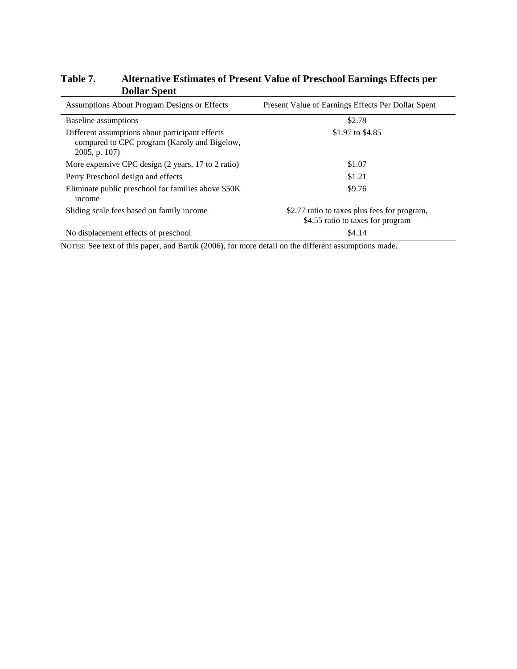| Table 7. | Alternative Estimates of Present Value of Preschool Earnings Effects per |
|----------|--------------------------------------------------------------------------|
|          | <b>Dollar Spent</b>                                                      |

| Assumptions About Program Designs or Effects                                                                        | Present Value of Earnings Effects Per Dollar Spent                                |  |
|---------------------------------------------------------------------------------------------------------------------|-----------------------------------------------------------------------------------|--|
| Baseline assumptions                                                                                                | \$2.78                                                                            |  |
| Different assumptions about participant effects<br>compared to CPC program (Karoly and Bigelow,<br>$2005$ , p. 107) | \$1.97 to \$4.85                                                                  |  |
| More expensive CPC design (2 years, 17 to 2 ratio)                                                                  | \$1.07                                                                            |  |
| Perry Preschool design and effects                                                                                  | \$1.21                                                                            |  |
| Eliminate public preschool for families above \$50K<br>income                                                       | \$9.76                                                                            |  |
| Sliding scale fees based on family income                                                                           | \$2.77 ratio to taxes plus fees for program,<br>\$4.55 ratio to taxes for program |  |
| No displacement effects of preschool                                                                                | \$4.14                                                                            |  |

NOTES: See text of this paper, and Bartik (2006), for more detail on the different assumptions made.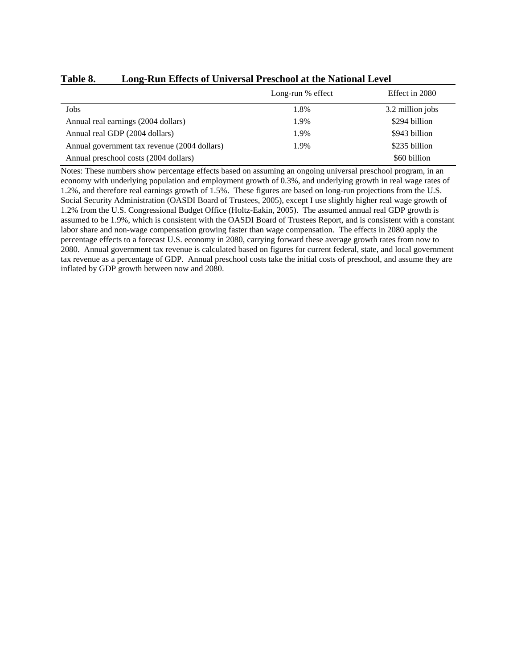|                                              | Long-run % effect | Effect in 2080   |
|----------------------------------------------|-------------------|------------------|
| Jobs                                         | 1.8%              | 3.2 million jobs |
| Annual real earnings (2004 dollars)          | 1.9%              | \$294 billion    |
| Annual real GDP (2004 dollars)               | 1.9%              | \$943 billion    |
| Annual government tax revenue (2004 dollars) | 1.9%              | \$235 billion    |
| Annual preschool costs (2004 dollars)        |                   | \$60 billion     |

#### **Table 8. Long-Run Effects of Universal Preschool at the National Level**

Notes: These numbers show percentage effects based on assuming an ongoing universal preschool program, in an economy with underlying population and employment growth of 0.3%, and underlying growth in real wage rates of 1.2%, and therefore real earnings growth of 1.5%. These figures are based on long-run projections from the U.S. Social Security Administration (OASDI Board of Trustees, 2005), except I use slightly higher real wage growth of 1.2% from the U.S. Congressional Budget Office (Holtz-Eakin, 2005). The assumed annual real GDP growth is assumed to be 1.9%, which is consistent with the OASDI Board of Trustees Report, and is consistent with a constant labor share and non-wage compensation growing faster than wage compensation. The effects in 2080 apply the percentage effects to a forecast U.S. economy in 2080, carrying forward these average growth rates from now to 2080. Annual government tax revenue is calculated based on figures for current federal, state, and local government tax revenue as a percentage of GDP. Annual preschool costs take the initial costs of preschool, and assume they are inflated by GDP growth between now and 2080.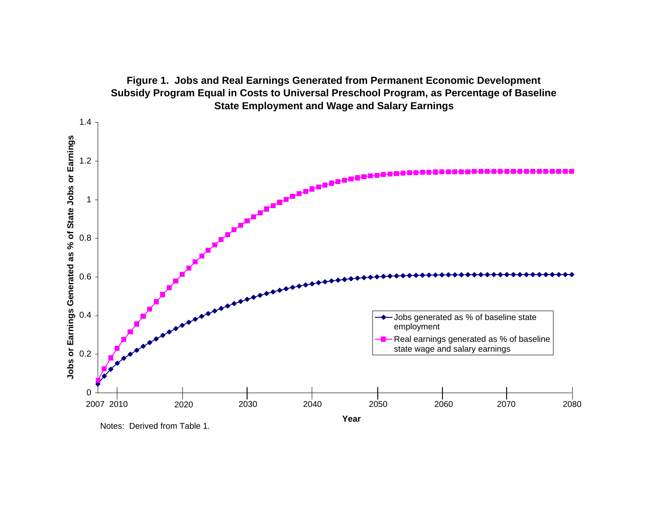

**Figure 1. Jobs and Real Earnings Generated from Permanent Economic Development Subsidy Program Equal in Costs to Universal Preschool Program, as Percentage of Baseline** 

Notes: Derived from Table 1.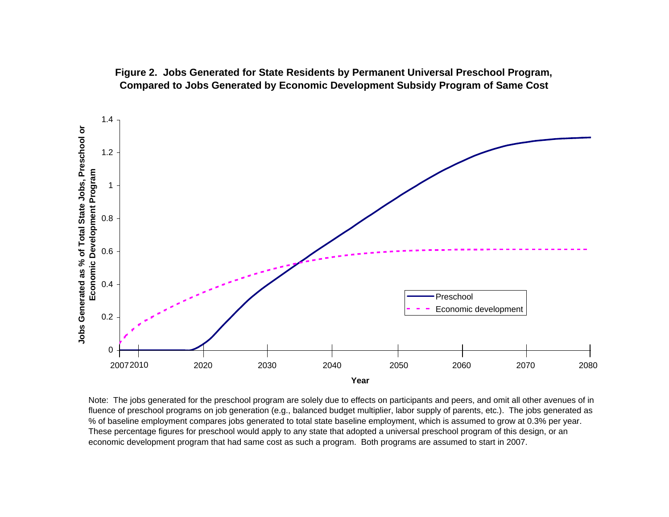

**Figure 2. Jobs Generated for State Residents by Permanent Universal Preschool Program, Compared to Jobs Generated by Economic Development Subsidy Program of Same Cost**

Note: The jobs generated for the preschool program are solely due to effects on participants and peers, and omit all other avenues of in fluence of preschool programs on job generation (e.g., balanced budget multiplier, labor supply of parents, etc.). The jobs generated as % of baseline employment compares jobs generated to total state baseline employment, which is assumed to grow at 0.3% per year. These percentage figures for preschool would apply to any state that adopted a universal preschool program of this design, or an economic development program that had same cost as such a program. Both programs are assumed to start in 2007.